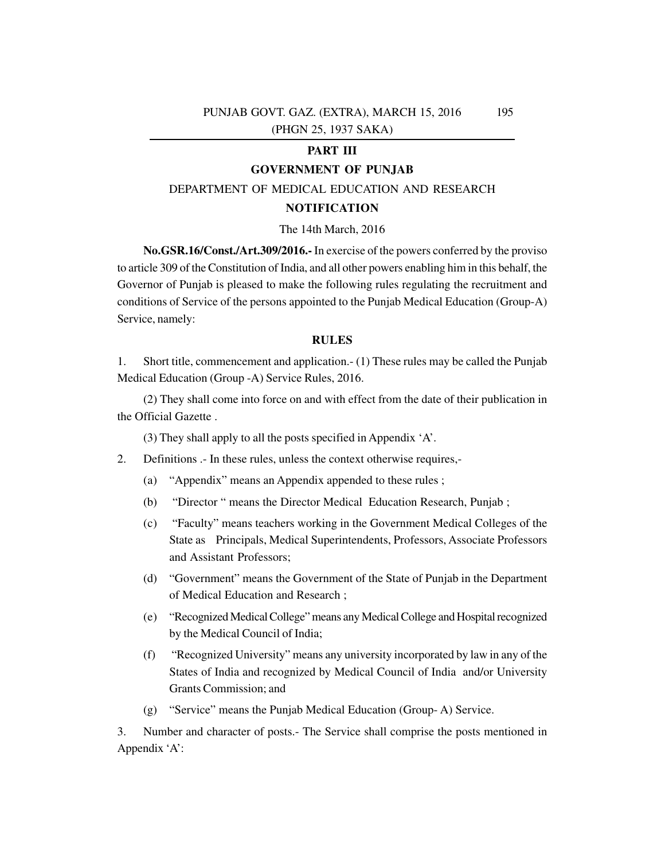## **PART III**

## **GOVERNMENT OF PUNJAB**

## DEPARTMENT OF MEDICAL EDUCATION AND RESEARCH

#### **NOTIFICATION**

#### The 14th March, 2016

**No.GSR.16/Const./Art.309/2016.-** In exercise of the powers conferred by the proviso to article 309 of the Constitution of India, and all other powers enabling him in this behalf, the Governor of Punjab is pleased to make the following rules regulating the recruitment and conditions of Service of the persons appointed to the Punjab Medical Education (Group-A) Service, namely:

## **RULES**

1. Short title, commencement and application.- (1) These rules may be called the Punjab Medical Education (Group -A) Service Rules, 2016.

(2) They shall come into force on and with effect from the date of their publication in the Official Gazette .

(3) They shall apply to all the posts specified in Appendix 'A'.

- 2. Definitions .- In these rules, unless the context otherwise requires,-
	- (a) "Appendix" means an Appendix appended to these rules ;
	- (b) "Director " means the Director Medical Education Research, Punjab ;
	- (c) "Faculty" means teachers working in the Government Medical Colleges of the State as Principals, Medical Superintendents, Professors, Associate Professors and Assistant Professors;
	- (d) "Government" means the Government of the State of Punjab in the Department of Medical Education and Research ;
	- (e) "Recognized Medical College" means any Medical College and Hospital recognized by the Medical Council of India;
	- (f) "Recognized University" means any university incorporated by law in any of the States of India and recognized by Medical Council of India and/or University Grants Commission; and
	- (g) "Service" means the Punjab Medical Education (Group- A) Service.

3. Number and character of posts.- The Service shall comprise the posts mentioned in Appendix 'A':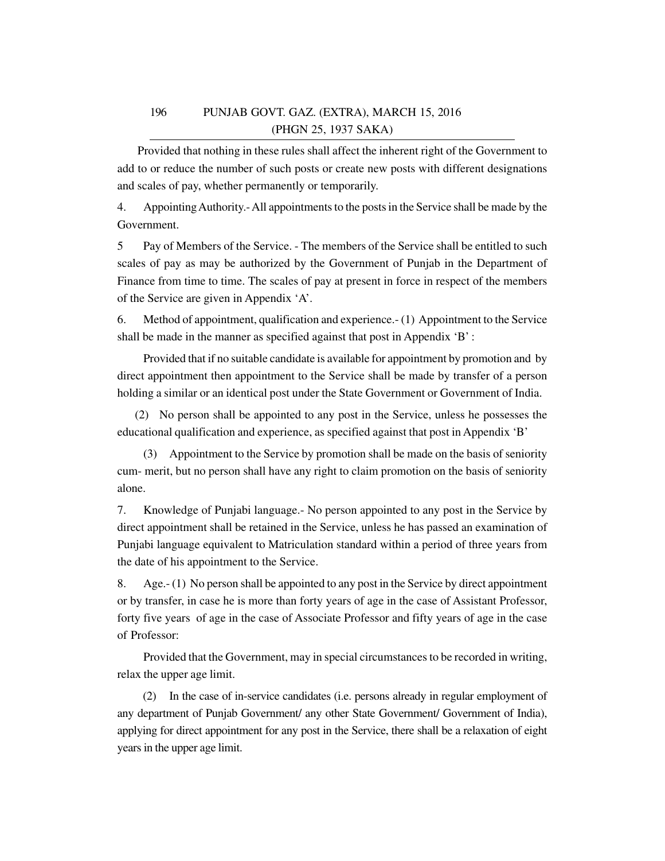Provided that nothing in these rules shall affect the inherent right of the Government to add to or reduce the number of such posts or create new posts with different designations and scales of pay, whether permanently or temporarily.

4. Appointing Authority.- All appointments to the posts in the Service shall be made by the Government.

5 Pay of Members of the Service. - The members of the Service shall be entitled to such scales of pay as may be authorized by the Government of Punjab in the Department of Finance from time to time. The scales of pay at present in force in respect of the members of the Service are given in Appendix 'A'.

6. Method of appointment, qualification and experience.- (1) Appointment to the Service shall be made in the manner as specified against that post in Appendix 'B' :

Provided that if no suitable candidate is available for appointment by promotion and by direct appointment then appointment to the Service shall be made by transfer of a person holding a similar or an identical post under the State Government or Government of India.

 (2) No person shall be appointed to any post in the Service, unless he possesses the educational qualification and experience, as specified against that post in Appendix 'B'

(3) Appointment to the Service by promotion shall be made on the basis of seniority cum- merit, but no person shall have any right to claim promotion on the basis of seniority alone.

7. Knowledge of Punjabi language.- No person appointed to any post in the Service by direct appointment shall be retained in the Service, unless he has passed an examination of Punjabi language equivalent to Matriculation standard within a period of three years from the date of his appointment to the Service.

8. Age.- (1) No person shall be appointed to any post in the Service by direct appointment or by transfer, in case he is more than forty years of age in the case of Assistant Professor, forty five years of age in the case of Associate Professor and fifty years of age in the case of Professor:

Provided that the Government, may in special circumstances to be recorded in writing, relax the upper age limit.

 (2) In the case of in-service candidates (i.e. persons already in regular employment of any department of Punjab Government/ any other State Government/ Government of India), applying for direct appointment for any post in the Service, there shall be a relaxation of eight years in the upper age limit.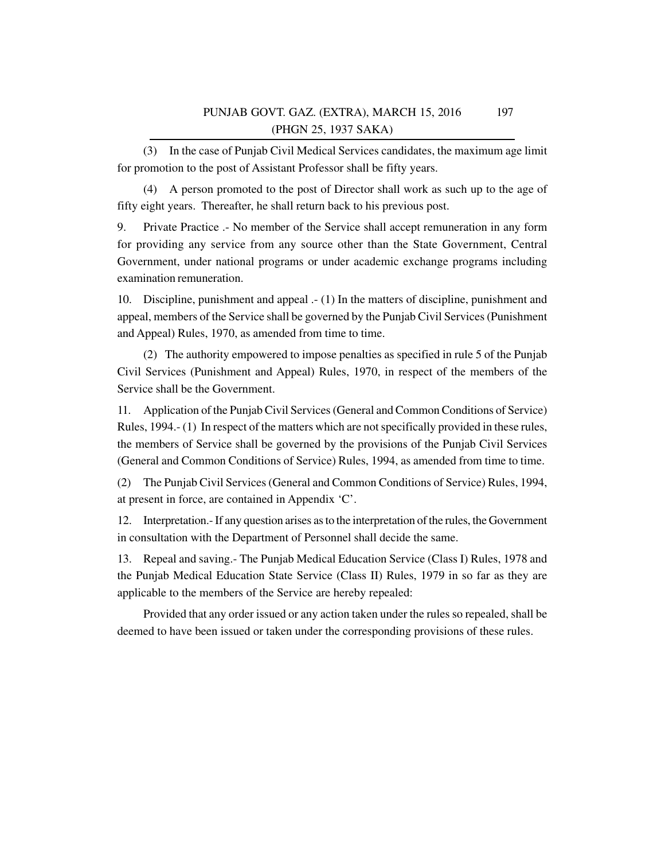(3) In the case of Punjab Civil Medical Services candidates, the maximum age limit for promotion to the post of Assistant Professor shall be fifty years.

(4) A person promoted to the post of Director shall work as such up to the age of fifty eight years. Thereafter, he shall return back to his previous post.

9. Private Practice .- No member of the Service shall accept remuneration in any form for providing any service from any source other than the State Government, Central Government, under national programs or under academic exchange programs including examination remuneration.

10. Discipline, punishment and appeal .- (1) In the matters of discipline, punishment and appeal, members of the Service shall be governed by the Punjab Civil Services (Punishment and Appeal) Rules, 1970, as amended from time to time.

(2) The authority empowered to impose penalties as specified in rule 5 of the Punjab Civil Services (Punishment and Appeal) Rules, 1970, in respect of the members of the Service shall be the Government.

11. Application of the Punjab Civil Services (General and Common Conditions of Service) Rules, 1994.- (1) In respect of the matters which are not specifically provided in these rules, the members of Service shall be governed by the provisions of the Punjab Civil Services (General and Common Conditions of Service) Rules, 1994, as amended from time to time.

(2) The Punjab Civil Services (General and Common Conditions of Service) Rules, 1994, at present in force, are contained in Appendix 'C'.

12. Interpretation.- If any question arises as to the interpretation of the rules, the Government in consultation with the Department of Personnel shall decide the same.

13. Repeal and saving.- The Punjab Medical Education Service (Class I) Rules, 1978 and the Punjab Medical Education State Service (Class II) Rules, 1979 in so far as they are applicable to the members of the Service are hereby repealed:

Provided that any order issued or any action taken under the rules so repealed, shall be deemed to have been issued or taken under the corresponding provisions of these rules.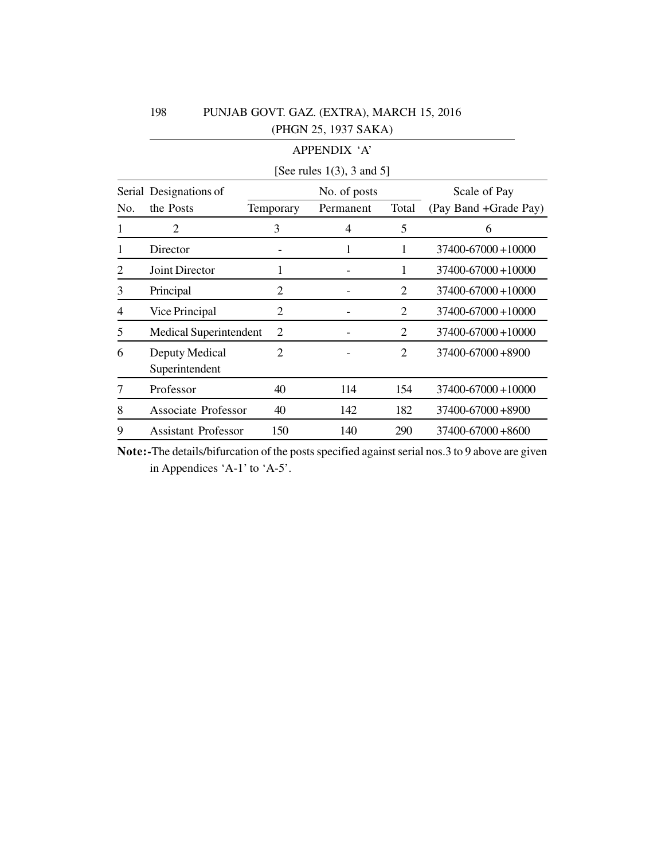|     | APPENDIX 'A'                     |                |              |                |                         |  |  |  |  |
|-----|----------------------------------|----------------|--------------|----------------|-------------------------|--|--|--|--|
|     | [See rules $1(3)$ , 3 and 5]     |                |              |                |                         |  |  |  |  |
|     | Serial Designations of           |                | No. of posts | Scale of Pay   |                         |  |  |  |  |
| No. | the Posts                        | Temporary      | Permanent    | Total          | (Pay Band +Grade Pay)   |  |  |  |  |
| 1   | $\overline{2}$                   | 3              | 4            | 5              | 6                       |  |  |  |  |
|     | Director                         |                |              | 1              | $37400 - 67000 + 10000$ |  |  |  |  |
| 2   | <b>Joint Director</b>            | 1              |              | 1              | $37400 - 67000 + 10000$ |  |  |  |  |
| 3   | Principal                        | 2              |              | 2              | $37400 - 67000 + 10000$ |  |  |  |  |
| 4   | Vice Principal                   | $\overline{2}$ |              | $\overline{2}$ | 37400-67000+10000       |  |  |  |  |
| 5   | <b>Medical Superintendent</b>    | $\overline{2}$ |              | 2              | $37400 - 67000 + 10000$ |  |  |  |  |
| 6   | Deputy Medical<br>Superintendent | $\overline{2}$ |              | $\overline{2}$ | 37400-67000+8900        |  |  |  |  |
|     | Professor                        | 40             | 114          | 154            | 37400-67000+10000       |  |  |  |  |
| 8   | Associate Professor              | 40             | 142          | 182            | $37400 - 67000 + 8900$  |  |  |  |  |
| 9   | <b>Assistant Professor</b>       | 150            | 140          | 290            | $37400 - 67000 + 8600$  |  |  |  |  |

**Note:-**The details/bifurcation of the posts specified against serial nos.3 to 9 above are given in Appendices 'A-1' to 'A-5'.

198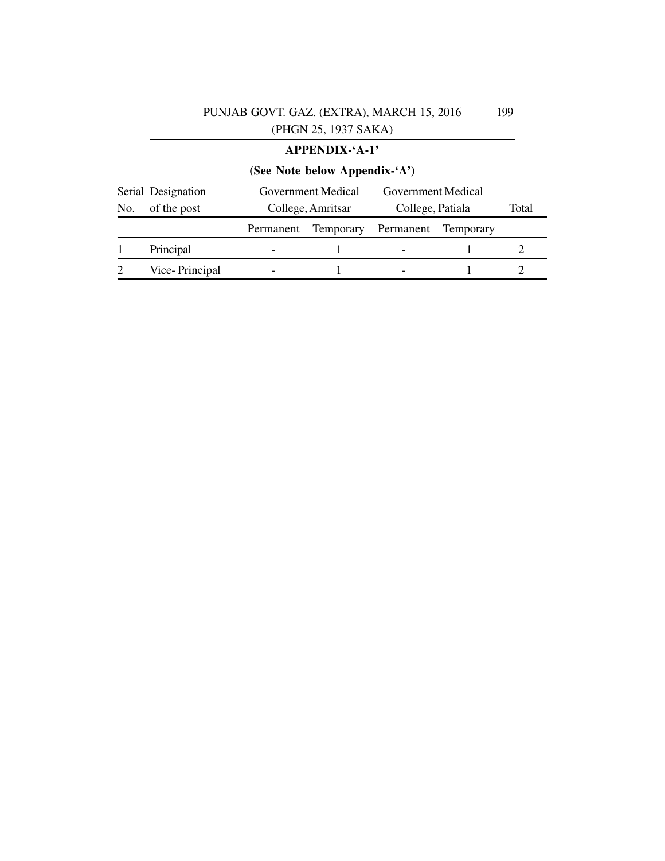|                                          |                               |           | <b>APPENDIX-'A-1'</b> |                                         |                  |  |  |  |  |
|------------------------------------------|-------------------------------|-----------|-----------------------|-----------------------------------------|------------------|--|--|--|--|
|                                          | (See Note below Appendix-'A') |           |                       |                                         |                  |  |  |  |  |
| Serial Designation<br>of the post<br>No. |                               |           | Government Medical    | Government Medical                      | Total            |  |  |  |  |
|                                          |                               | Permanent | College, Amritsar     | College, Patiala<br>Temporary Permanent | <b>Temporary</b> |  |  |  |  |
|                                          | Principal                     |           |                       |                                         |                  |  |  |  |  |
|                                          | Vice-Principal                |           |                       |                                         |                  |  |  |  |  |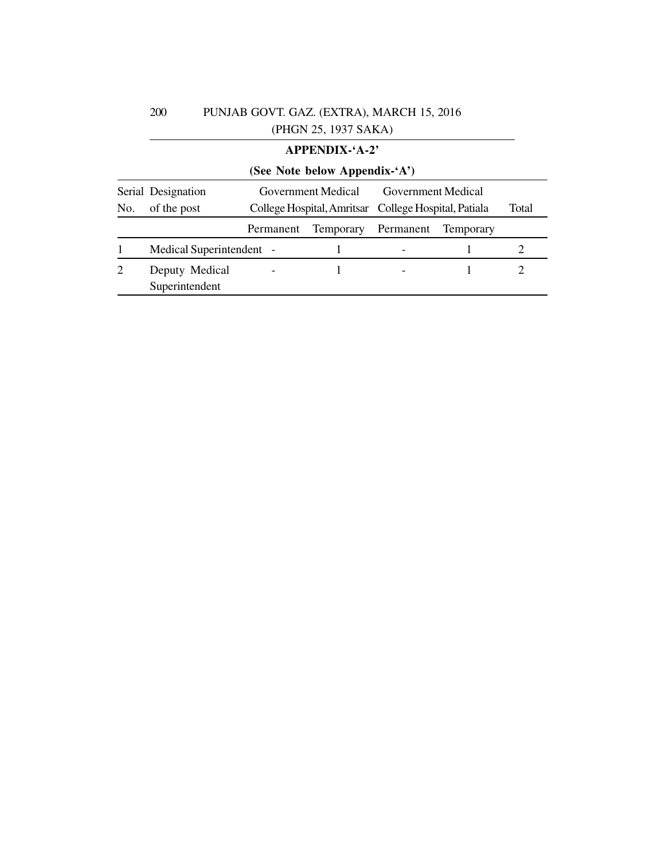|     |                                  |                                                      | <b>APPENDIX-'A-2'</b> |                    |                  |       |  |  |  |  |
|-----|----------------------------------|------------------------------------------------------|-----------------------|--------------------|------------------|-------|--|--|--|--|
|     | (See Note below Appendix-'A')    |                                                      |                       |                    |                  |       |  |  |  |  |
|     | Serial Designation               |                                                      | Government Medical    | Government Medical |                  |       |  |  |  |  |
| No. | of the post                      | College Hospital, Amritsar College Hospital, Patiala |                       |                    |                  | Total |  |  |  |  |
|     |                                  | Permanent                                            | <b>Temporary</b>      | Permanent          | <b>Temporary</b> |       |  |  |  |  |
|     | Medical Superintendent -         |                                                      |                       |                    |                  |       |  |  |  |  |
| 2   | Deputy Medical<br>Superintendent |                                                      |                       |                    |                  |       |  |  |  |  |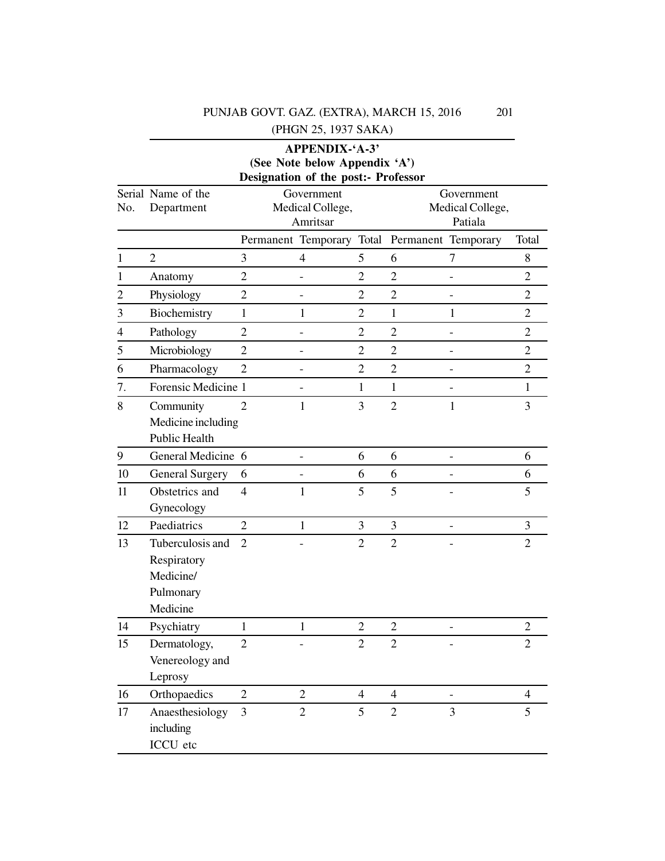## PUNJAB GOVT. GAZ. (EXTRA), MARCH 15, 2016

(PHGN 25, 1937 SAKA)

## **APPENDIX-'A-3' (See Note below Appendix 'A') Designation of the post:- Professor**

|                | Serial Name of the     |                | Government                |                |                | Government               |                |  |
|----------------|------------------------|----------------|---------------------------|----------------|----------------|--------------------------|----------------|--|
| No.            | Department             |                | Medical College,          |                |                | Medical College,         |                |  |
|                |                        |                | Amritsar                  |                |                | Patiala                  |                |  |
|                |                        |                | Permanent Temporary Total |                |                | Permanent Temporary      | Total          |  |
| 1              | $\overline{2}$         | 3              | $\overline{4}$            | 5              | 6              | 7                        | 8              |  |
| 1              | Anatomy                | $\overline{2}$ |                           | $\overline{2}$ | $\overline{2}$ |                          | $\overline{2}$ |  |
| $\overline{c}$ | Physiology             | $\overline{2}$ | $\overline{\phantom{0}}$  | $\overline{2}$ | $\overline{2}$ | $\overline{\phantom{0}}$ | $\overline{2}$ |  |
| 3              | Biochemistry           | $\mathbf{1}$   | 1                         | $\mathbf{2}$   | $\mathbf{1}$   | 1                        | $\overline{2}$ |  |
| 4              | Pathology              | $\overline{2}$ |                           | $\overline{2}$ | $\overline{2}$ |                          | $\overline{2}$ |  |
| 5              | Microbiology           | $\overline{2}$ | $\overline{\phantom{0}}$  | $\overline{2}$ | $\overline{2}$ | $\overline{\phantom{0}}$ | $\overline{2}$ |  |
| 6              | Pharmacology           | $\overline{2}$ | -                         | $\overline{2}$ | $\overline{2}$ |                          | $\overline{2}$ |  |
| 7.             | Forensic Medicine 1    |                |                           | 1              | $\mathbf{1}$   |                          | $\mathbf{1}$   |  |
| 8              | Community              | $\overline{2}$ | $\mathbf{1}$              | 3              | $\overline{2}$ | $\mathbf{1}$             | 3              |  |
|                | Medicine including     |                |                           |                |                |                          |                |  |
|                | <b>Public Health</b>   |                |                           |                |                |                          |                |  |
| 9              | General Medicine 6     |                |                           | 6              | 6              |                          | 6              |  |
| 10             | <b>General Surgery</b> | 6              | $\overline{\phantom{0}}$  | 6              | 6              |                          | 6              |  |
| 11             | Obstetrics and         | $\overline{4}$ | $\mathbf{1}$              | 5              | 5              |                          | 5              |  |
|                | Gynecology             |                |                           |                |                |                          |                |  |
| 12             | Paediatrics            | $\overline{2}$ | $\mathbf{1}$              | 3              | 3              | $\overline{\phantom{a}}$ | $\overline{3}$ |  |
| 13             | Tuberculosis and       | $\overline{2}$ |                           | $\overline{2}$ | $\overline{2}$ |                          | $\overline{2}$ |  |
|                | Respiratory            |                |                           |                |                |                          |                |  |
|                | Medicine/              |                |                           |                |                |                          |                |  |
|                | Pulmonary              |                |                           |                |                |                          |                |  |
|                | Medicine               |                |                           |                |                |                          |                |  |
| 14             | Psychiatry             | $\mathbf{1}$   | $\mathbf{1}$              | $\overline{2}$ | $\overline{2}$ |                          | $\overline{2}$ |  |
| 15             | Dermatology,           | $\overline{2}$ |                           | $\mathfrak{2}$ | $\overline{2}$ |                          | $\overline{2}$ |  |
|                | Venereology and        |                |                           |                |                |                          |                |  |
|                | Leprosy                |                |                           |                |                |                          |                |  |
| 16             | Orthopaedics           | $\overline{2}$ | $\overline{2}$            | $\overline{4}$ | $\overline{4}$ |                          | $\overline{4}$ |  |
| 17             | Anaesthesiology        | 3              | $\overline{2}$            | 5              | $\overline{2}$ | 3                        | 5              |  |
|                | including              |                |                           |                |                |                          |                |  |
|                | ICCU etc               |                |                           |                |                |                          |                |  |

201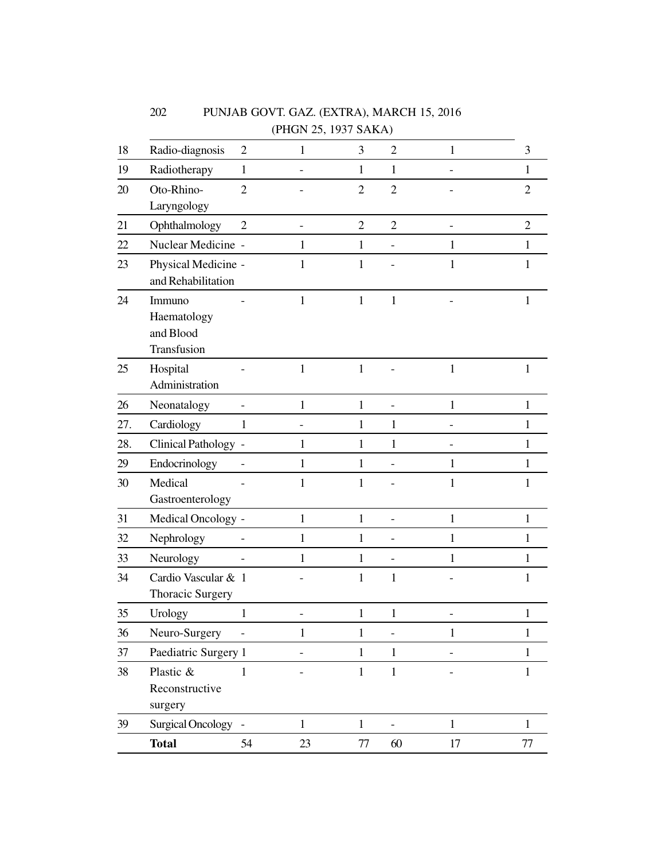|     |                                                   |                | (PHGN 25, 1937 SAKA) |                |                |              |                |
|-----|---------------------------------------------------|----------------|----------------------|----------------|----------------|--------------|----------------|
| 18  | Radio-diagnosis                                   | $\overline{2}$ | 1                    | 3              | $\overline{2}$ | $\mathbf{1}$ | 3              |
| 19  | Radiotherapy                                      | $\mathbf{1}$   |                      | $\mathbf{1}$   | $\mathbf{1}$   |              | 1              |
| 20  | Oto-Rhino-<br>Laryngology                         | $\overline{2}$ |                      | $\overline{2}$ | $\overline{2}$ |              | $\overline{2}$ |
| 21  | Ophthalmology                                     | $\overline{2}$ |                      | $\overline{2}$ | $\overline{2}$ |              | $\overline{2}$ |
| 22  | Nuclear Medicine -                                |                | 1                    | $\mathbf{1}$   |                | 1            | $\mathbf{1}$   |
| 23  | Physical Medicine -<br>and Rehabilitation         |                | 1                    | $\mathbf{1}$   |                | 1            | $\mathbf{1}$   |
| 24  | Immuno<br>Haematology<br>and Blood<br>Transfusion |                | 1                    | $\mathbf{1}$   | $\mathbf{1}$   |              | $\mathbf{1}$   |
| 25  | Hospital<br>Administration                        |                | $\mathbf{1}$         | $\mathbf{1}$   |                | $\mathbf{1}$ | $\mathbf{1}$   |
| 26  | Neonatalogy                                       |                | $\mathbf{1}$         | $\mathbf{1}$   |                | $\mathbf{1}$ | $\mathbf{1}$   |
| 27. | Cardiology                                        | 1              |                      | $\mathbf{1}$   | $\mathbf{1}$   |              | $\mathbf{1}$   |
| 28. | Clinical Pathology -                              |                | 1                    | $\mathbf{1}$   | $\mathbf{1}$   |              | 1              |
| 29  | Endocrinology                                     |                | 1                    | $\mathbf{1}$   |                | 1            | $\mathbf{1}$   |
| 30  | Medical<br>Gastroenterology                       |                | 1                    | $\mathbf{1}$   |                | 1            | 1              |
| 31  | Medical Oncology -                                |                | $\mathbf{1}$         | $\mathbf{1}$   |                | $\mathbf{1}$ | $\mathbf{1}$   |
| 32  | Nephrology                                        |                | 1                    | $\mathbf{1}$   |                | 1            | $\mathbf{1}$   |
| 33  | Neurology                                         |                | $\mathbf{1}$         | $\mathbf{1}$   |                | $\mathbf{1}$ | $\mathbf{1}$   |
| 34  | Cardio Vascular & 1<br>Thoracic Surgery           |                |                      | $\mathbf{1}$   | $\mathbf{1}$   |              | $\mathbf{1}$   |
| 35  | Urology                                           | -1             |                      | $\mathbf{1}$   | $\mathbf{1}$   |              | 1              |
| 36  | Neuro-Surgery                                     |                | $\mathbf{1}$         | $\mathbf{1}$   |                | 1            | 1              |
| 37  | Paediatric Surgery 1                              |                |                      | $\mathbf{1}$   | $\mathbf{1}$   |              | $\mathbf{1}$   |
| 38  | Plastic &<br>Reconstructive<br>surgery            | 1              |                      | $\,1$          | $\mathbf{1}$   |              | $\mathbf{1}$   |
| 39  | Surgical Oncology -                               |                | $\mathbf{1}$         | $\mathbf{1}$   |                | $\mathbf{1}$ | $\mathbf{1}$   |
|     | <b>Total</b>                                      | 54             | 23                   | $77\,$         | 60             | 17           | $77\,$         |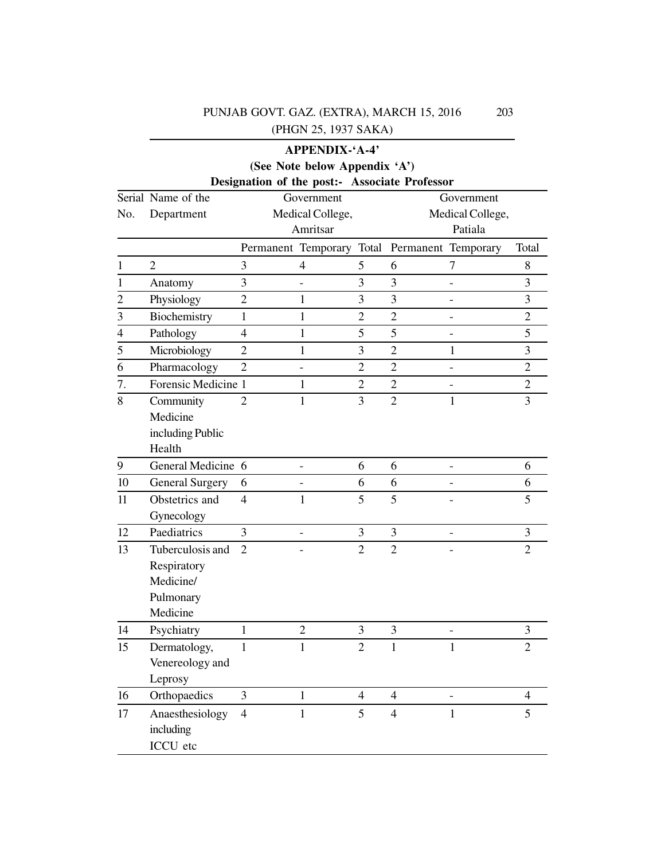|                |                        |                | <b>APPENDIX-'A-4'</b>         |                |                                               |                  |                |
|----------------|------------------------|----------------|-------------------------------|----------------|-----------------------------------------------|------------------|----------------|
|                |                        |                | (See Note below Appendix 'A') |                |                                               |                  |                |
|                |                        |                |                               |                | Designation of the post:- Associate Professor |                  |                |
|                | Serial Name of the     |                | Government                    |                |                                               | Government       |                |
| No.            | Department             |                | Medical College,              |                |                                               | Medical College, |                |
|                |                        |                | Amritsar                      |                |                                               | Patiala          |                |
|                |                        |                | Permanent Temporary Total     |                | Permanent Temporary                           |                  | Total          |
| 1              | $\overline{2}$         | 3              | 4                             | 5              | 6                                             | 7                | 8              |
| 1              | Anatomy                | 3              | -                             | 3              | 3                                             |                  | 3              |
| $\overline{c}$ | Physiology             | $\overline{2}$ | $\mathbf{1}$                  | 3              | 3                                             |                  | 3              |
| 3              | Biochemistry           | 1              | 1                             | $\overline{2}$ | $\overline{2}$                                |                  | $\overline{2}$ |
| 4              | Pathology              | 4              | 1                             | 5              | 5                                             |                  | 5              |
| 5              | Microbiology           | $\overline{2}$ | 1                             | 3              | $\overline{2}$                                | 1                | 3              |
| 6              | Pharmacology           | $\overline{2}$ | $\overline{a}$                | $\overline{2}$ | $\overline{2}$                                |                  | $\overline{2}$ |
| 7.             | Forensic Medicine 1    |                | 1                             | $\overline{2}$ | $\overline{2}$                                |                  | $\overline{2}$ |
| 8              | Community              | 2              | $\mathbf{1}$                  | 3              | $\overline{2}$                                | 1                | 3              |
|                | Medicine               |                |                               |                |                                               |                  |                |
|                | including Public       |                |                               |                |                                               |                  |                |
|                | Health                 |                |                               |                |                                               |                  |                |
| 9              | General Medicine 6     |                | $\overline{\phantom{0}}$      | 6              | 6                                             |                  | 6              |
| 10             | <b>General Surgery</b> | 6              |                               | 6              | 6                                             |                  | 6              |
| 11             | Obstetrics and         | $\overline{4}$ | 1                             | 5              | 5                                             |                  | 5              |
|                | Gynecology             |                |                               |                |                                               |                  |                |
| 12             | Paediatrics            | 3              |                               | 3              | 3                                             |                  | 3              |
| 13             | Tuberculosis and       | $\overline{2}$ |                               | $\overline{2}$ | $\overline{2}$                                |                  | $\overline{2}$ |
|                | Respiratory            |                |                               |                |                                               |                  |                |
|                | Medicine/              |                |                               |                |                                               |                  |                |
|                | Pulmonary              |                |                               |                |                                               |                  |                |
|                | Medicine               |                |                               |                |                                               |                  |                |
| 14             | Psychiatry             |                | 2                             | 3              | 3                                             |                  | 3              |
| 15             | Dermatology,           | 1              | $\mathbf{1}$                  | $\overline{2}$ | 1                                             | $\mathbf{1}$     | $\overline{2}$ |
|                | Venereology and        |                |                               |                |                                               |                  |                |
|                | Leprosy                |                |                               |                |                                               |                  |                |
| 16             | Orthopaedics           | 3              | $\mathbf{1}$                  | 4              | $\overline{4}$                                |                  | 4              |
| 17             | Anaesthesiology        | $\overline{4}$ | $\mathbf{1}$                  | 5              | $\overline{4}$                                | $\mathbf{1}$     | 5              |
|                | including              |                |                               |                |                                               |                  |                |
|                | ICCU etc               |                |                               |                |                                               |                  |                |

203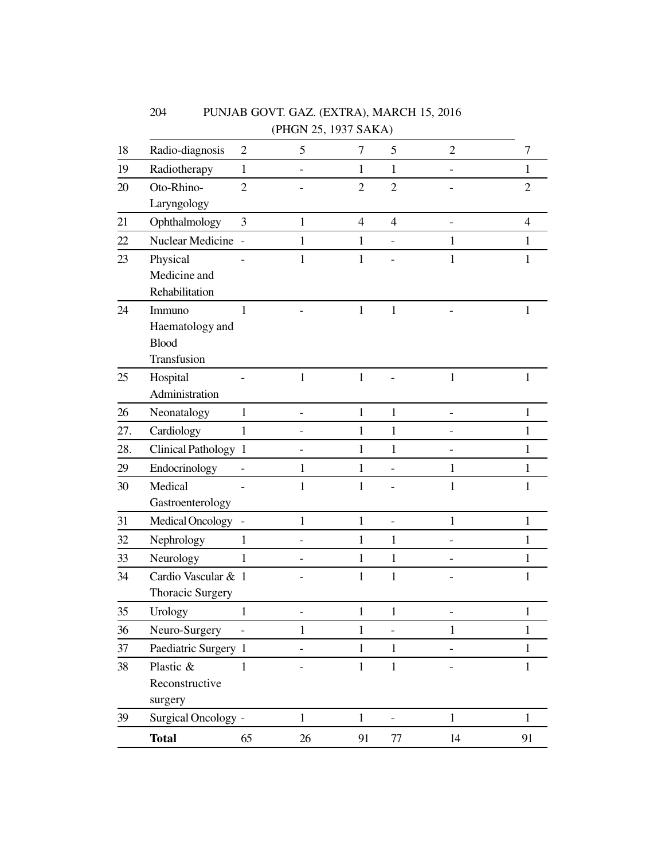|     |                      |                | (PHGN 25, 1937 SAKA) |                |                |                |                  |
|-----|----------------------|----------------|----------------------|----------------|----------------|----------------|------------------|
| 18  | Radio-diagnosis      | $\overline{2}$ | 5                    | 7              | 5              | $\overline{2}$ | $\boldsymbol{7}$ |
| 19  | Radiotherapy         | $\mathbf{1}$   |                      | $\mathbf{1}$   | $\mathbf{1}$   |                | $\mathbf{1}$     |
| 20  | Oto-Rhino-           | $\overline{2}$ |                      | $\overline{2}$ | $\overline{2}$ |                | $\overline{2}$   |
|     | Laryngology          |                |                      |                |                |                |                  |
| 21  | Ophthalmology        | 3              | $\mathbf{1}$         | $\overline{4}$ | $\overline{4}$ |                | $\overline{4}$   |
| 22  | Nuclear Medicine -   |                | 1                    | 1              |                | 1              | 1                |
| 23  | Physical             |                | 1                    | 1              |                | 1              | 1                |
|     | Medicine and         |                |                      |                |                |                |                  |
|     | Rehabilitation       |                |                      |                |                |                |                  |
| 24  | Immuno               | 1              |                      | 1              | 1              |                | 1                |
|     | Haematology and      |                |                      |                |                |                |                  |
|     | <b>Blood</b>         |                |                      |                |                |                |                  |
|     | Transfusion          |                |                      |                |                |                |                  |
| 25  | Hospital             |                | $\mathbf{1}$         | $\mathbf{1}$   |                | $\mathbf{1}$   | $\mathbf{1}$     |
|     | Administration       |                |                      |                |                |                |                  |
| 26  | Neonatalogy          | $\mathbf{1}$   |                      | $\mathbf{1}$   | $\mathbf{1}$   |                | 1                |
| 27. | Cardiology           | $\mathbf{1}$   |                      | 1              | 1              |                | 1                |
| 28. | Clinical Pathology 1 |                |                      | $\mathbf{1}$   | 1              |                | 1                |
| 29  | Endocrinology        |                | 1                    | 1              | ۳              | 1              | 1                |
| 30  | Medical              |                | 1                    | 1              |                | 1              | 1                |
|     | Gastroenterology     |                |                      |                |                |                |                  |
| 31  | Medical Oncology     |                | 1                    | $\mathbf{1}$   | $\overline{a}$ | 1              | $\mathbf{1}$     |
| 32  | Nephrology           | $\mathbf{1}$   |                      | $\mathbf{1}$   | 1              |                | $\mathbf{1}$     |
| 33  | Neurology            | $\mathbf{1}$   |                      | 1              | 1              |                | 1                |
| 34  | Cardio Vascular & 1  |                |                      | $\mathbf{1}$   | $\mathbf{1}$   |                | $\mathbf{1}$     |
|     | Thoracic Surgery     |                |                      |                |                |                |                  |
| 35  | Urology              | 1              |                      | 1              | 1              |                |                  |
| 36  | Neuro-Surgery        |                | $\mathbf{1}$         | 1              |                | 1              | 1                |
| 37  | Paediatric Surgery 1 |                |                      | $\mathbf{1}$   | $\mathbf{1}$   |                | $\mathbf{1}$     |
| 38  | Plastic &            | $\mathbf{1}$   |                      | $\mathbf{1}$   | $\mathbf 1$    |                | $\mathbf{1}$     |
|     | Reconstructive       |                |                      |                |                |                |                  |
|     | surgery              |                |                      |                |                |                |                  |
| 39  | Surgical Oncology -  |                | $\mathbf 1$          | $\,1\,$        |                | $\mathbf{1}$   | $\mathbf{1}$     |
|     | <b>Total</b>         | 65             | 26                   | 91             | 77             | 14             | 91               |

PUNJAB GOVT. GAZ. (EXTRA), MARCH 15, 2016

204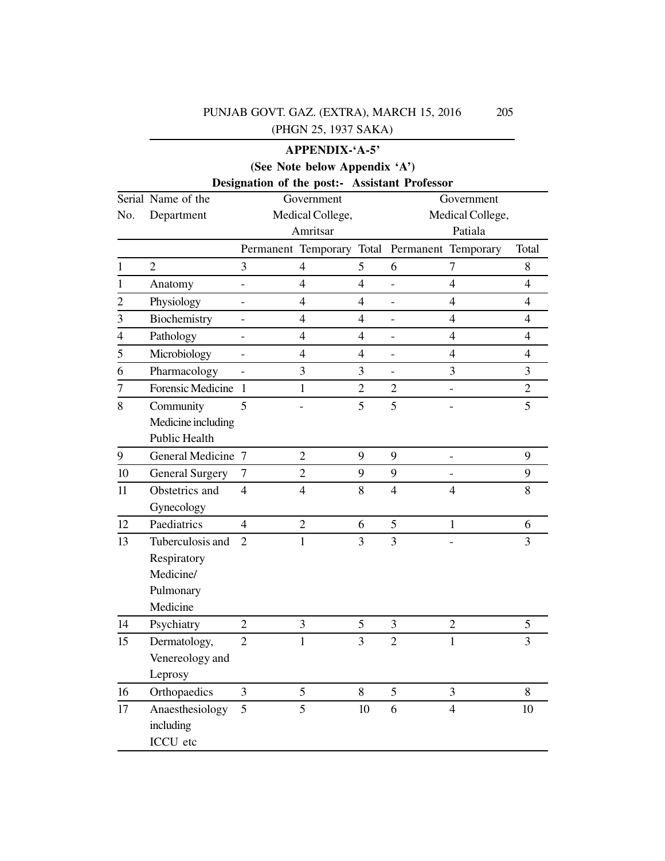## **APPENDIX-'A-5' (See Note below Appendix 'A')**

## **Designation of the post:- Assistant Professor**

|                | <br>Serial Name of the | $\cdots$                 | $\mathbf{r}$<br>Government | 1.50010V       |                          | Government          |                |  |
|----------------|------------------------|--------------------------|----------------------------|----------------|--------------------------|---------------------|----------------|--|
| No.            | Department             |                          | Medical College,           |                | Medical College,         |                     |                |  |
|                |                        |                          | Amritsar                   |                | Patiala                  |                     |                |  |
|                |                        |                          | Permanent Temporary Total  |                |                          | Permanent Temporary | Total          |  |
| $\mathbf{1}$   | $\overline{2}$         | $\overline{3}$           | $\overline{4}$             | 5              | 6                        | $\overline{7}$      | 8              |  |
| $\mathbf 1$    | Anatomy                | $\overline{\phantom{0}}$ | $\overline{4}$             | $\overline{4}$ |                          | $\overline{4}$      | $\overline{4}$ |  |
| $\overline{c}$ | Physiology             | $\overline{\phantom{0}}$ | $\overline{4}$             | $\overline{4}$ | $\overline{\phantom{0}}$ | $\overline{4}$      | $\overline{4}$ |  |
| 3              | Biochemistry           | $\overline{\phantom{0}}$ | $\overline{4}$             | $\overline{4}$ | $\overline{a}$           | $\overline{4}$      | $\overline{4}$ |  |
| $\overline{4}$ | Pathology              | $\overline{\phantom{0}}$ | $\overline{4}$             | $\overline{4}$ |                          | $\overline{4}$      | $\overline{4}$ |  |
| $\overline{5}$ | Microbiology           | $\overline{\phantom{0}}$ | $\overline{4}$             | $\overline{4}$ | -                        | $\overline{4}$      | $\overline{4}$ |  |
| 6              | Pharmacology           | $\overline{a}$           | 3                          | 3              | $\overline{a}$           | 3                   | 3              |  |
| $\overline{7}$ | Forensic Medicine      | $\mathbf{1}$             | $\mathbf{1}$               | $\overline{2}$ | $\overline{2}$           |                     | $\overline{2}$ |  |
| 8              | Community              | 5                        |                            | $\overline{5}$ | 5                        |                     | $\overline{5}$ |  |
|                | Medicine including     |                          |                            |                |                          |                     |                |  |
|                | <b>Public Health</b>   |                          |                            |                |                          |                     |                |  |
| 9              | General Medicine 7     |                          | $\overline{2}$             | 9              | 9                        |                     | 9              |  |
| $10\,$         | <b>General Surgery</b> | $\tau$                   | $\overline{2}$             | 9              | 9                        |                     | 9              |  |
| 11             | Obstetrics and         | $\overline{4}$           | $\overline{4}$             | $8\,$          | $\overline{4}$           | $\overline{4}$      | 8              |  |
|                | Gynecology             |                          |                            |                |                          |                     |                |  |
| 12             | Paediatrics            | $\overline{4}$           | $\overline{2}$             | 6              | 5                        | $\mathbf{1}$        | 6              |  |
| 13             | Tuberculosis and       | $\overline{2}$           | $\mathbf{1}$               | 3              | 3                        |                     | $\overline{3}$ |  |
|                | Respiratory            |                          |                            |                |                          |                     |                |  |
|                | Medicine/              |                          |                            |                |                          |                     |                |  |
|                | Pulmonary              |                          |                            |                |                          |                     |                |  |
|                | Medicine               |                          |                            |                |                          |                     |                |  |
| 14             | Psychiatry             | $\overline{2}$           | $\overline{3}$             | 5              | 3                        | $\overline{2}$      | 5              |  |
| 15             | Dermatology,           | $\overline{2}$           | $\mathbf{1}$               | 3              | $\overline{2}$           | $\mathbf{1}$        | $\overline{3}$ |  |
|                | Venereology and        |                          |                            |                |                          |                     |                |  |
|                | Leprosy                |                          |                            |                |                          |                     |                |  |
| 16             | Orthopaedics           | $\overline{3}$           | 5                          | 8              | 5                        | 3                   | 8              |  |
| 17             | Anaesthesiology        | 5                        | 5                          | 10             | 6                        | $\overline{4}$      | 10             |  |
|                | including              |                          |                            |                |                          |                     |                |  |
|                | ICCU etc               |                          |                            |                |                          |                     |                |  |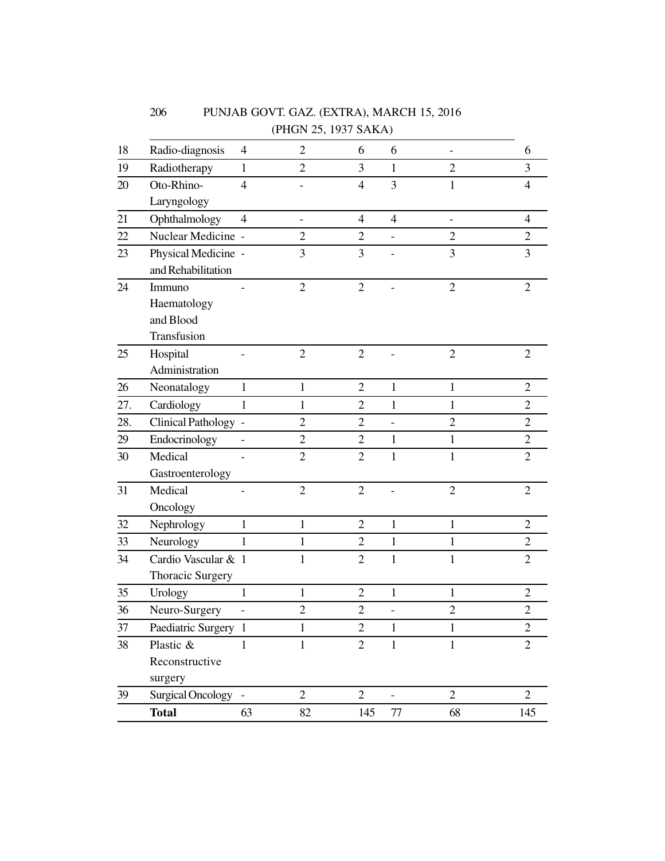|     |                          |                          | (PHGN 25, 1937 SAKA) |                |                          |                          |                |
|-----|--------------------------|--------------------------|----------------------|----------------|--------------------------|--------------------------|----------------|
| 18  | Radio-diagnosis          | $\overline{\mathcal{A}}$ | $\overline{2}$       | 6              | 6                        | $\overline{a}$           | 6              |
| 19  | Radiotherapy             | $\mathbf{1}$             | $\overline{2}$       | 3              | $\mathbf{1}$             | $\overline{2}$           | 3              |
| 20  | Oto-Rhino-               | $\overline{4}$           |                      | $\overline{4}$ | 3                        | 1                        | $\overline{4}$ |
|     | Laryngology              |                          |                      |                |                          |                          |                |
| 21  | Ophthalmology            | $\overline{4}$           | $\qquad \qquad -$    | $\overline{4}$ | $\overline{4}$           | $\overline{\phantom{0}}$ | $\overline{4}$ |
| 22  | Nuclear Medicine -       |                          | $\overline{2}$       | $\overline{2}$ |                          | $\overline{2}$           | $\overline{2}$ |
| 23  | Physical Medicine -      |                          | 3                    | 3              |                          | 3                        | 3              |
|     | and Rehabilitation       |                          |                      |                |                          |                          |                |
| 24  | Immuno                   |                          | $\overline{2}$       | $\overline{2}$ |                          | $\overline{2}$           | $\overline{2}$ |
|     | Haematology              |                          |                      |                |                          |                          |                |
|     | and Blood                |                          |                      |                |                          |                          |                |
|     | Transfusion              |                          |                      |                |                          |                          |                |
| 25  | Hospital                 |                          | $\overline{2}$       | $\overline{2}$ |                          | $\overline{2}$           | $\overline{2}$ |
|     | Administration           |                          |                      |                |                          |                          |                |
| 26  | Neonatalogy              | $\mathbf{1}$             | $\mathbf{1}$         | $\overline{2}$ | $\mathbf{1}$             | $\mathbf{1}$             | $\overline{2}$ |
| 27. | Cardiology               | $\mathbf{1}$             | $\mathbf{1}$         | $\overline{2}$ | $\mathbf{1}$             | $\mathbf{1}$             | $\overline{2}$ |
| 28. | Clinical Pathology -     |                          | $\overline{2}$       | $\overline{2}$ | $\overline{\phantom{0}}$ | $\overline{2}$           | $\overline{2}$ |
| 29  | Endocrinology            |                          | $\mathbf{2}$         | $\overline{2}$ | 1                        | $\mathbf{1}$             | $\overline{2}$ |
| 30  | Medical                  |                          | $\overline{2}$       | $\overline{2}$ | $\mathbf{1}$             | $\mathbf{1}$             | $\overline{2}$ |
|     | Gastroenterology         |                          |                      |                |                          |                          |                |
| 31  | Medical                  |                          | $\overline{2}$       | $\overline{2}$ |                          | $\overline{2}$           | $\overline{2}$ |
|     | Oncology                 |                          |                      |                |                          |                          |                |
| 32  | Nephrology               | $\mathbf{1}$             | $\mathbf{1}$         | $\overline{2}$ | $\mathbf{1}$             | $\mathbf{1}$             | $\overline{2}$ |
| 33  | Neurology                | 1                        | $\mathbf{1}$         | $\overline{2}$ | 1                        | $\mathbf{1}$             | $\overline{2}$ |
| 34  | Cardio Vascular & 1      |                          | $\mathbf{1}$         | $\overline{2}$ | $\mathbf{1}$             | $\mathbf{1}$             | $\overline{2}$ |
|     | Thoracic Surgery         |                          |                      |                |                          |                          |                |
| 35  | Urology                  | $\mathbf{1}$             | $\mathbf{1}$         | $\overline{c}$ | $\mathbf{1}$             | $\mathbf{1}$             | $\mathfrak{2}$ |
| 36  | Neuro-Surgery            |                          | $\overline{c}$       | $\overline{c}$ |                          | $\overline{c}$           | $\sqrt{2}$     |
| 37  | Paediatric Surgery 1     |                          | $\mathbf{1}$         | $\overline{2}$ | $\mathbf{1}$             | $\mathbf{1}$             | $\overline{2}$ |
| 38  | Plastic &                | $\mathbf{1}$             | $\mathbf{1}$         | $\overline{2}$ | $\mathbf{1}$             | $\mathbf{1}$             | $\overline{2}$ |
|     | Reconstructive           |                          |                      |                |                          |                          |                |
|     | surgery                  |                          |                      |                |                          |                          |                |
| 39  | <b>Surgical Oncology</b> |                          | $\overline{2}$       | $\overline{2}$ |                          | $\overline{2}$           | $\overline{2}$ |
|     | <b>Total</b>             | 63                       | 82                   | 145            | $77\,$                   | 68                       | 145            |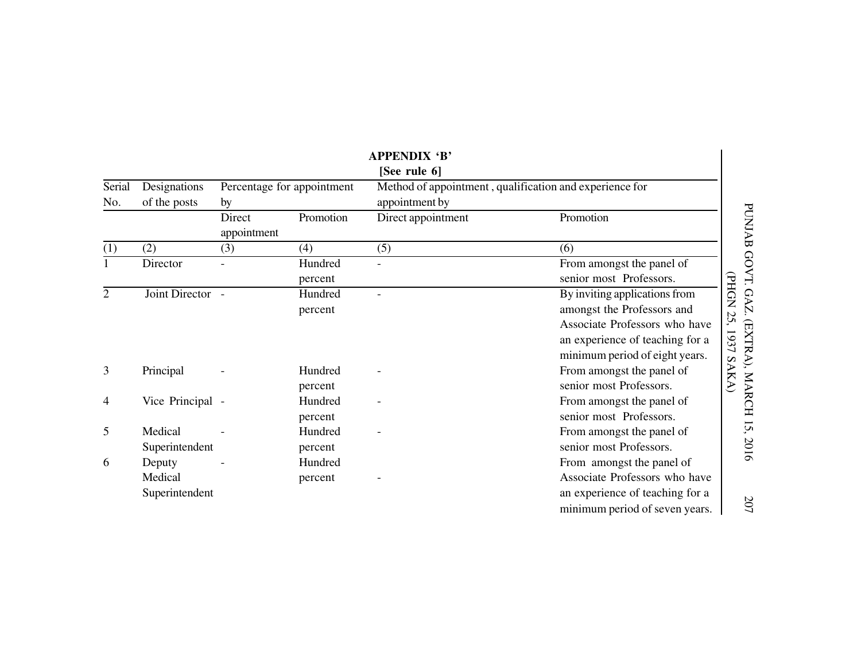|               |                                     |                                  |                    | <b>APPENDIX 'B'</b>                                                       |                                                                                                                                                                   |                                                     |  |
|---------------|-------------------------------------|----------------------------------|--------------------|---------------------------------------------------------------------------|-------------------------------------------------------------------------------------------------------------------------------------------------------------------|-----------------------------------------------------|--|
|               |                                     |                                  |                    | [See rule 6]                                                              |                                                                                                                                                                   |                                                     |  |
| Serial<br>No. | Designations<br>of the posts        | Percentage for appointment<br>by |                    | Method of appointment, qualification and experience for<br>appointment by |                                                                                                                                                                   |                                                     |  |
|               |                                     | Direct<br>appointment            | Promotion          | Direct appointment                                                        | Promotion                                                                                                                                                         | PUNJAB GOVT.                                        |  |
| (1)           | (2)                                 | (3)                              | (4)                | (5)                                                                       | (6)                                                                                                                                                               |                                                     |  |
|               | Director                            |                                  | Hundred<br>percent |                                                                           | From amongst the panel of<br>senior most Professors.                                                                                                              |                                                     |  |
| 2             | Joint Director -                    |                                  | Hundred<br>percent |                                                                           | By inviting applications from<br>amongst the Professors and<br>Associate Professors who have<br>an experience of teaching for a<br>minimum period of eight years. | <b>PHON</b><br><b>GAZ</b><br>25<br>(EXTRA),<br>1937 |  |
| 3             | Principal                           |                                  | Hundred<br>percent |                                                                           | From amongst the panel of<br>senior most Professors.                                                                                                              | SAKA)                                               |  |
| 4             | Vice Principal -                    |                                  | Hundred<br>percent |                                                                           | From amongst the panel of<br>senior most Professors.                                                                                                              | <b>MARCH</b>                                        |  |
| 5             | Medical<br>Superintendent           |                                  | Hundred<br>percent |                                                                           | From amongst the panel of<br>senior most Professors.                                                                                                              | 15,<br>2016                                         |  |
| 6             | Deputy<br>Medical<br>Superintendent |                                  | Hundred<br>percent |                                                                           | From amongst the panel of<br>Associate Professors who have<br>an experience of teaching for a<br>minimum period of seven years.                                   | 207                                                 |  |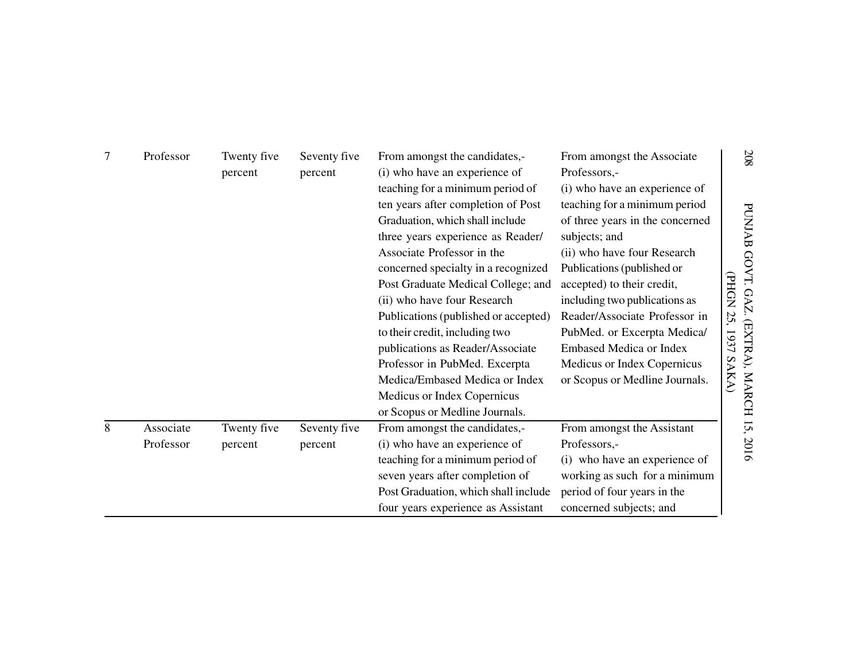| 7 | Professor              | Twenty five<br>percent | Seventy five<br>percent | From amongst the candidates,-<br>(i) who have an experience of<br>teaching for a minimum period of<br>ten years after completion of Post<br>Graduation, which shall include<br>three years experience as Reader/<br>Associate Professor in the<br>concerned specialty in a recognized<br>Post Graduate Medical College; and<br>(ii) who have four Research<br>Publications (published or accepted)<br>to their credit, including two<br>publications as Reader/Associate<br>Professor in PubMed. Excerpta<br>Medica/Embased Medica or Index<br>Medicus or Index Copernicus<br>or Scopus or Medline Journals. | From amongst the Associate<br>Professors,-<br>(i) who have an experience of<br>teaching for a minimum period<br>of three years in the concerned<br>subjects; and<br>(ii) who have four Research<br>Publications (published or<br>accepted) to their credit,<br>including two publications as<br>Reader/Associate Professor in<br>PubMed. or Excerpta Medica/<br><b>Embased Medica or Index</b><br>Medicus or Index Copernicus<br>or Scopus or Medline Journals. | $208\,$<br>PUNJAB GOVT.<br><b>PHON</b><br><b>GAZ</b><br>25,<br>(EXTRA),<br>1937<br>SAKA)<br><b>MARCH</b> |
|---|------------------------|------------------------|-------------------------|--------------------------------------------------------------------------------------------------------------------------------------------------------------------------------------------------------------------------------------------------------------------------------------------------------------------------------------------------------------------------------------------------------------------------------------------------------------------------------------------------------------------------------------------------------------------------------------------------------------|-----------------------------------------------------------------------------------------------------------------------------------------------------------------------------------------------------------------------------------------------------------------------------------------------------------------------------------------------------------------------------------------------------------------------------------------------------------------|----------------------------------------------------------------------------------------------------------|
| 8 | Associate<br>Professor | Twenty five<br>percent | Seventy five<br>percent | From amongst the candidates,-<br>(i) who have an experience of                                                                                                                                                                                                                                                                                                                                                                                                                                                                                                                                               | From amongst the Assistant<br>Professors,-                                                                                                                                                                                                                                                                                                                                                                                                                      | 15,<br>2016                                                                                              |
|   |                        |                        |                         | teaching for a minimum period of<br>seven years after completion of<br>Post Graduation, which shall include<br>four years experience as Assistant                                                                                                                                                                                                                                                                                                                                                                                                                                                            | (i) who have an experience of<br>working as such for a minimum<br>period of four years in the<br>concerned subjects; and                                                                                                                                                                                                                                                                                                                                        |                                                                                                          |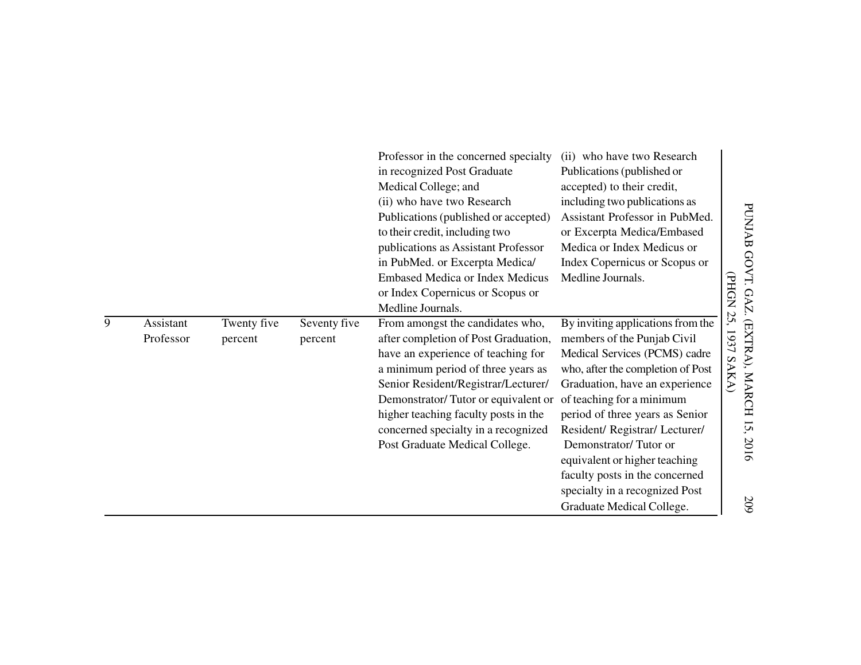|   |                        |                        |                         | Professor in the concerned specialty<br>in recognized Post Graduate<br>Medical College; and<br>(ii) who have two Research<br>Publications (published or accepted)<br>to their credit, including two<br>publications as Assistant Professor<br>in PubMed. or Excerpta Medica/<br><b>Embased Medica or Index Medicus</b><br>or Index Copernicus or Scopus or<br>Medline Journals. | (ii) who have two Research<br>Publications (published or<br>accepted) to their credit,<br>including two publications as<br>Assistant Professor in PubMed.<br>or Excerpta Medica/Embased<br>Medica or Index Medicus or<br>Index Copernicus or Scopus or<br>Medline Journals.                                                                                                                                                         | <b>PHON</b>              |
|---|------------------------|------------------------|-------------------------|---------------------------------------------------------------------------------------------------------------------------------------------------------------------------------------------------------------------------------------------------------------------------------------------------------------------------------------------------------------------------------|-------------------------------------------------------------------------------------------------------------------------------------------------------------------------------------------------------------------------------------------------------------------------------------------------------------------------------------------------------------------------------------------------------------------------------------|--------------------------|
| 9 | Assistant<br>Professor | Twenty five<br>percent | Seventy five<br>percent | From amongst the candidates who,<br>after completion of Post Graduation,<br>have an experience of teaching for<br>a minimum period of three years as<br>Senior Resident/Registrar/Lecturer/<br>Demonstrator/Tutor or equivalent or<br>higher teaching faculty posts in the<br>concerned specialty in a recognized<br>Post Graduate Medical College.                             | By inviting applications from the<br>members of the Punjab Civil<br>Medical Services (PCMS) cadre<br>who, after the completion of Post<br>Graduation, have an experience<br>of teaching for a minimum<br>period of three years as Senior<br>Resident/Registrar/Lecturer/<br>Demonstrator/Tutor or<br>equivalent or higher teaching<br>faculty posts in the concerned<br>specialty in a recognized Post<br>Graduate Medical College. | 25,<br>193<br>ر<br>SAKA) |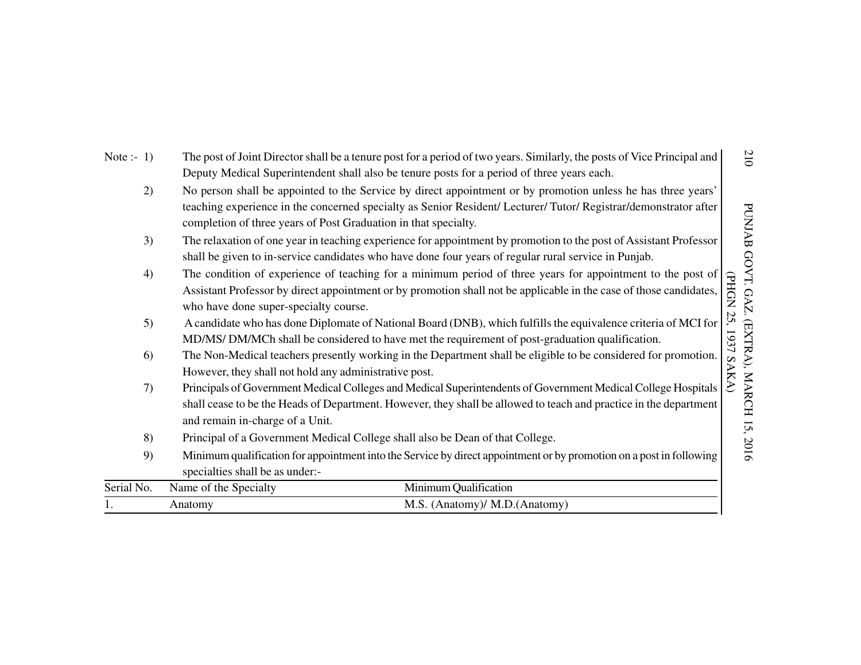| Note :- $1)$ | The post of Joint Director shall be a tenure post for a period of two years. Similarly, the posts of Vice Principal and<br>Deputy Medical Superintendent shall also be tenure posts for a period of three years each.                                                                               | 210                          |
|--------------|-----------------------------------------------------------------------------------------------------------------------------------------------------------------------------------------------------------------------------------------------------------------------------------------------------|------------------------------|
| 2)           | No person shall be appointed to the Service by direct appointment or by promotion unless he has three years'<br>teaching experience in the concerned specialty as Senior Resident/ Lecturer/ Tutor/ Registrar/demonstrator after<br>completion of three years of Post Graduation in that specialty. | <b>PUNJAB</b>                |
| 3)           | The relaxation of one year in teaching experience for appointment by promotion to the post of Assistant Professor<br>shall be given to in-service candidates who have done four years of regular rural service in Punjab.                                                                           |                              |
| 4)           | The condition of experience of teaching for a minimum period of three years for appointment to the post of<br>Assistant Professor by direct appointment or by promotion shall not be applicable in the case of those candidates,<br>who have done super-specialty course.                           | GOVT.<br><b>PHGN</b><br>GAZ. |
| 5)           | A candidate who has done Diplomate of National Board (DNB), which fulfills the equivalence criteria of MCI for<br>MD/MS/ DM/MCh shall be considered to have met the requirement of post-graduation qualification.                                                                                   | 25<br>EXTRA),<br>1637        |
| 6)           | The Non-Medical teachers presently working in the Department shall be eligible to be considered for promotion.<br>However, they shall not hold any administrative post.                                                                                                                             | SAKA)                        |
| 7)           | Principals of Government Medical Colleges and Medical Superintendents of Government Medical College Hospitals<br>shall cease to be the Heads of Department. However, they shall be allowed to teach and practice in the department<br>and remain in-charge of a Unit.                               | MARCH 15, 2016               |
| 8)           | Principal of a Government Medical College shall also be Dean of that College.                                                                                                                                                                                                                       |                              |
| 9)           | Minimum qualification for appointment into the Service by direct appointment or by promotion on a post in following<br>specialties shall be as under:-                                                                                                                                              |                              |
| Serial No.   | Minimum Qualification<br>Name of the Specialty                                                                                                                                                                                                                                                      |                              |
|              | M.S. (Anatomy)/ M.D. (Anatomy)<br>Anatomy                                                                                                                                                                                                                                                           |                              |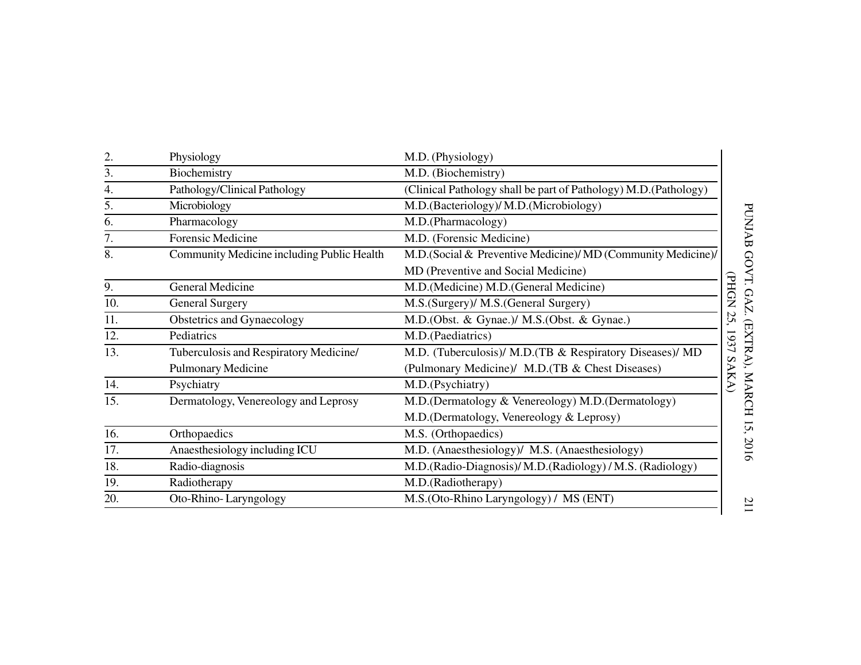| 2.  | Physiology                                 | M.D. (Physiology)                                               |
|-----|--------------------------------------------|-----------------------------------------------------------------|
| 3.  | Biochemistry                               | M.D. (Biochemistry)                                             |
| 4.  | Pathology/Clinical Pathology               | (Clinical Pathology shall be part of Pathology) M.D.(Pathology) |
| 5.  | Microbiology                               | M.D.(Bacteriology)/ M.D.(Microbiology)                          |
| 6.  | Pharmacology                               | M.D.(Pharmacology)                                              |
| 7.  | Forensic Medicine                          | M.D. (Forensic Medicine)                                        |
| 8.  | Community Medicine including Public Health | M.D.(Social & Preventive Medicine)/ MD (Community Medicine)/    |
|     |                                            | MD (Preventive and Social Medicine)                             |
| 9.  | General Medicine                           | M.D. (Medicine) M.D. (General Medicine)                         |
| 10. | <b>General Surgery</b>                     | M.S.(Surgery)/ M.S.(General Surgery)                            |
| 11. | Obstetrics and Gynaecology                 | M.D.(Obst. & Gynae.)/ M.S.(Obst. & Gynae.)                      |
| 12. | Pediatrics                                 | M.D.(Paediatrics)                                               |
| 13. | Tuberculosis and Respiratory Medicine/     | M.D. (Tuberculosis)/ M.D. (TB & Respiratory Diseases)/ MD       |
|     | <b>Pulmonary Medicine</b>                  | (Pulmonary Medicine)/ M.D. (TB & Chest Diseases)                |
| 14. | Psychiatry                                 | M.D.(Psychiatry)                                                |
| 15. | Dermatology, Venereology and Leprosy       | M.D.(Dermatology & Venereology) M.D.(Dermatology)               |
|     |                                            | M.D.(Dermatology, Venereology & Leprosy)                        |
| 16. | Orthopaedics                               | M.S. (Orthopaedics)                                             |
| 17. | Anaesthesiology including ICU              | M.D. (Anaesthesiology)/ M.S. (Anaesthesiology)                  |
| 18. | Radio-diagnosis                            | M.D.(Radio-Diagnosis)/ M.D.(Radiology)/ M.S. (Radiology)        |
| 19. | Radiotherapy                               | M.D.(Radiotherapy)                                              |
| 20. | Oto-Rhino-Laryngology                      | M.S. (Oto-Rhino Laryngology) / MS (ENT)                         |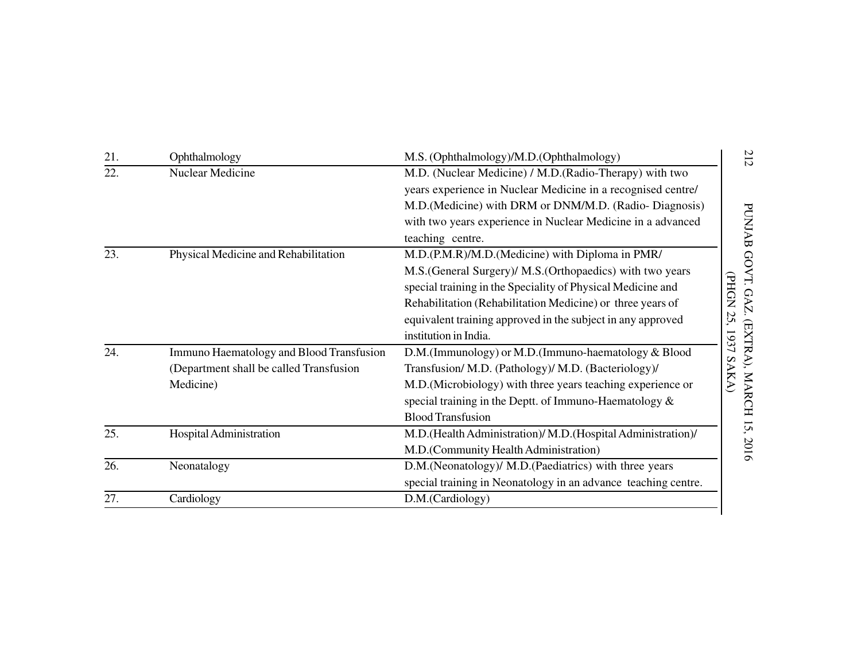| 21. | Ophthalmology                            | M.S. (Ophthalmology)/M.D. (Ophthalmology)                      | 212             |
|-----|------------------------------------------|----------------------------------------------------------------|-----------------|
| 22. | Nuclear Medicine                         | M.D. (Nuclear Medicine) / M.D. (Radio-Therapy) with two        |                 |
|     |                                          | years experience in Nuclear Medicine in a recognised centre/   |                 |
|     |                                          | M.D.(Medicine) with DRM or DNM/M.D. (Radio- Diagnosis)         |                 |
|     |                                          | with two years experience in Nuclear Medicine in a advanced    |                 |
|     |                                          | teaching centre.                                               |                 |
| 23. | Physical Medicine and Rehabilitation     | M.D.(P.M.R)/M.D.(Medicine) with Diploma in PMR/                | PUNJAB GOVT.    |
|     |                                          | M.S. (General Surgery)/ M.S. (Orthopaedics) with two years     |                 |
|     |                                          | special training in the Speciality of Physical Medicine and    | <b>CPHON</b>    |
|     |                                          | Rehabilitation (Rehabilitation Medicine) or three years of     | <b>GAZ.</b>     |
|     |                                          | equivalent training approved in the subject in any approved    | 52              |
|     |                                          | institution in India.                                          | 1937            |
| 24. | Immuno Haematology and Blood Transfusion | D.M.(Immunology) or M.D.(Immuno-haematology & Blood            | (EXTRA), MARCH  |
|     | (Department shall be called Transfusion  | Transfusion/ M.D. (Pathology)/ M.D. (Bacteriology)/            | SAKA)           |
|     | Medicine)                                | M.D. (Microbiology) with three years teaching experience or    |                 |
|     |                                          | special training in the Deptt. of Immuno-Haematology &         |                 |
|     |                                          | <b>Blood Transfusion</b>                                       | $\overline{15}$ |
| 25. | Hospital Administration                  | M.D. (Health Administration)/ M.D. (Hospital Administration)/  |                 |
|     |                                          | M.D.(Community Health Administration)                          | 2016            |
| 26. | Neonatalogy                              | D.M.(Neonatology)/ M.D.(Paediatrics) with three years          |                 |
|     |                                          | special training in Neonatology in an advance teaching centre. |                 |
| 27. | Cardiology                               | D.M.(Cardiology)                                               |                 |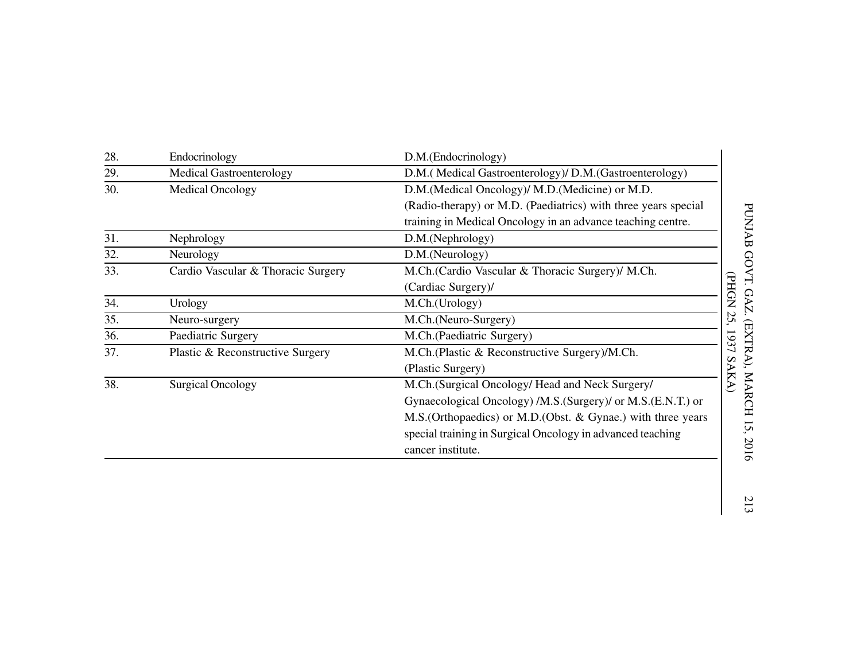|                                    | D.M.(Endocrinology)                                            |
|------------------------------------|----------------------------------------------------------------|
| <b>Medical Gastroenterology</b>    | D.M. (Medical Gastroenterology)/ D.M. (Gastroenterology)       |
| Medical Oncology                   | D.M. (Medical Oncology)/ M.D. (Medicine) or M.D.               |
|                                    | (Radio-therapy) or M.D. (Paediatrics) with three years special |
|                                    | training in Medical Oncology in an advance teaching centre.    |
| Nephrology                         | D.M.(Nephrology)                                               |
| Neurology                          | D.M.(Neurology)                                                |
| Cardio Vascular & Thoracic Surgery | M.Ch. (Cardio Vascular & Thoracic Surgery)/ M.Ch.              |
|                                    | <b>CPHGN</b><br>(Cardiac Surgery)/                             |
| Urology                            | M.Ch.(Urology)                                                 |
| Neuro-surgery                      | 25,<br>M.Ch.(Neuro-Surgery)                                    |
| Paediatric Surgery                 | M.Ch.(Paediatric Surgery)                                      |
| Plastic & Reconstructive Surgery   | M.Ch.(Plastic & Reconstructive Surgery)/M.Ch.                  |
|                                    | SAKA)<br>(Plastic Surgery)                                     |
| <b>Surgical Oncology</b>           | M.Ch.(Surgical Oncology/ Head and Neck Surgery/                |
|                                    | Gynaecological Oncology) /M.S. (Surgery)/ or M.S. (E.N.T.) or  |
|                                    | M.S. (Orthopaedics) or M.D. (Obst. & Gynae.) with three years  |
|                                    | special training in Surgical Oncology in advanced teaching     |
|                                    | cancer institute.                                              |
|                                    |                                                                |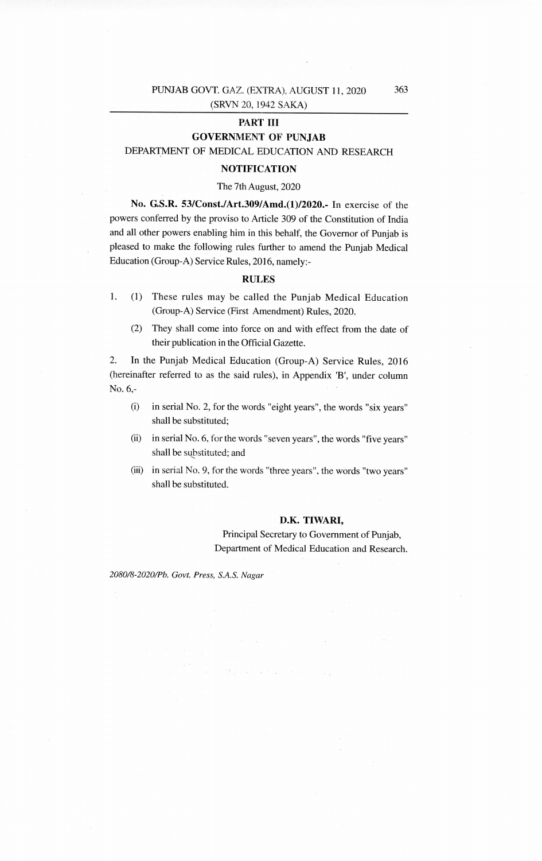## **PART III GOVERNMENT OF PUNJAB**

DEPARTMENT OF MEDICAL EDUCATION AND RESEARCH

## **NOTIFICATION**

## The 7th August, 2020

**No. G.S.R. 53/Const./Art.309/Amd.(1)/2020.-** In exercise of the powers conferred by the proviso to Article 309 of the Constitution of India and all other powers enabling him in this behalf, the Governor of Punjab is pleased to make the following rules further to amend the Punjab Medical Education (Group-A) Service Rules, 2016, namely:-

## **RULES**

- 1. (1) These rules may be called the Punjab Medical Education (Group-A) Service (First Amendment) Rules, 2020.
	- (2) They shall come into force on and with effect from the date of their publication in the Official Gazette.

2. In the Punjab Medical Education (Group-A) Service Rules, 2016 (hereinafter referred to as the said rules), in Appendix 'B', under column No. 6,-

- (i) in serial No. 2, for the words "eight years", the words "six years" shall be substituted;
- (ii) in serial No. 6, for the words "seven years", the words "five years" shall be substituted; and
- (iii) in serial No. 9, for the words "three years", the words "two years" shall be substituted.

 $\mathbb{E}\left[\frac{1}{\lambda}\right]_{\mathcal{B}_{\lambda}}\omega_{\mathcal{B}_{\lambda}}=\left[\mu\mathcal{L}^{(1)}\right]_{\mathcal{B}_{\lambda}}\left[\left\|\mathcal{B}_{\lambda}\right\|_{\mathcal{B}_{\lambda}}\right]_{\mathcal{B}_{\lambda}}\left[\left\|\mathcal{B}_{\lambda}\right\|_{\mathcal{B}_{\lambda}}\right]_{\mathcal{B}_{\lambda}}\left[\left\|\mathcal{B}_{\lambda}\right\|_{\mathcal{B}_{\lambda}}\right]_{\mathcal{B}_{\lambda}}$ 

## **D.K. TIWARI,**

Principal Secretary to Government of Punjab, Department of Medical Education and Research.

*2080/8-2020/Ph. Govt. Press, S.A.S. Nagar*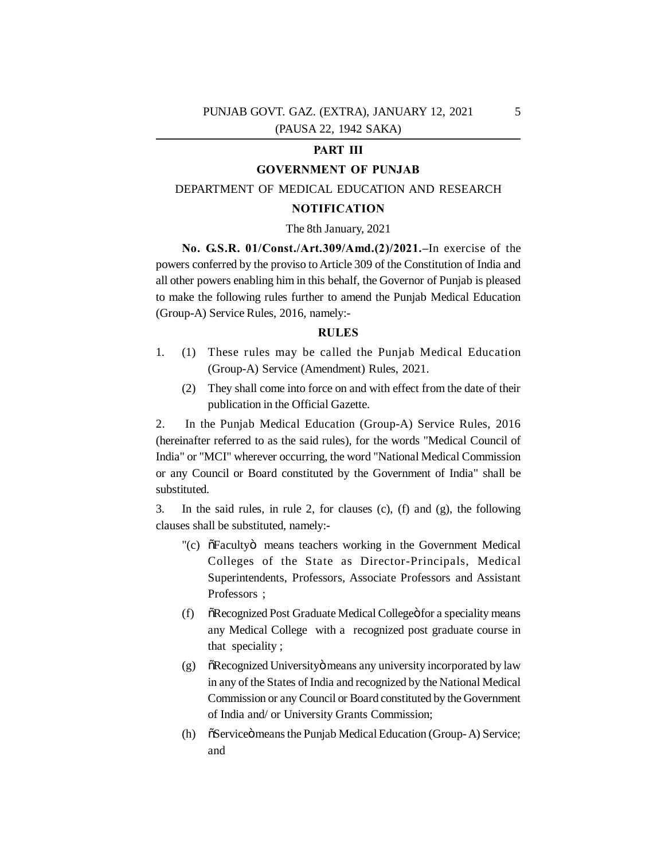## PUNJAB GOVT. GAZ. (EXTRA), JANUARY 12, 2021 (PAUSA 22, 1942 SAKA)

## **PART III**

## **GOVERNMENT OF PUNJAB**

## DEPARTMENT OF MEDICAL EDUCATION AND RESEARCH

## **NOTIFICATION**

#### The 8th January, 2021

**No. G.S.R. 01/Const./Art.309/Amd.(2)/2021.–**In exercise of the powers conferred by the proviso to Article 309 of the Constitution of India and all other powers enabling him in this behalf, the Governor of Punjab is pleased to make the following rules further to amend the Punjab Medical Education (Group-A) Service Rules, 2016, namely:-

#### **RULES**

- 1. (1) These rules may be called the Punjab Medical Education (Group-A) Service (Amendment) Rules, 2021.
	- (2) They shall come into force on and with effect from the date of their publication in the Official Gazette.

2. In the Punjab Medical Education (Group-A) Service Rules, 2016 (hereinafter referred to as the said rules), for the words "Medical Council of India" or "MCI" wherever occurring, the word "National Medical Commission or any Council or Board constituted by the Government of India" shall be substituted.

3. In the said rules, in rule 2, for clauses (c), (f) and (g), the following clauses shall be substituted, namely:-

- "(c)  $\delta$ Faculty means teachers working in the Government Medical Colleges of the State as Director-Principals, Medical Superintendents, Professors, Associate Professors and Assistant Professors ;
- (f)  $\delta$ Recognized Post Graduate Medical College for a speciality means any Medical College with a recognized post graduate course in that speciality ;
- $(g)$   $\ddot{\text{o}}$ Recognized University means any university incorporated by law in any of the States of India and recognized by the National Medical Commission or any Council or Board constituted by the Government of India and/ or University Grants Commission;
- (h)  $\tilde{\text{S}}$  Service means the Punjab Medical Education (Group-A) Service; and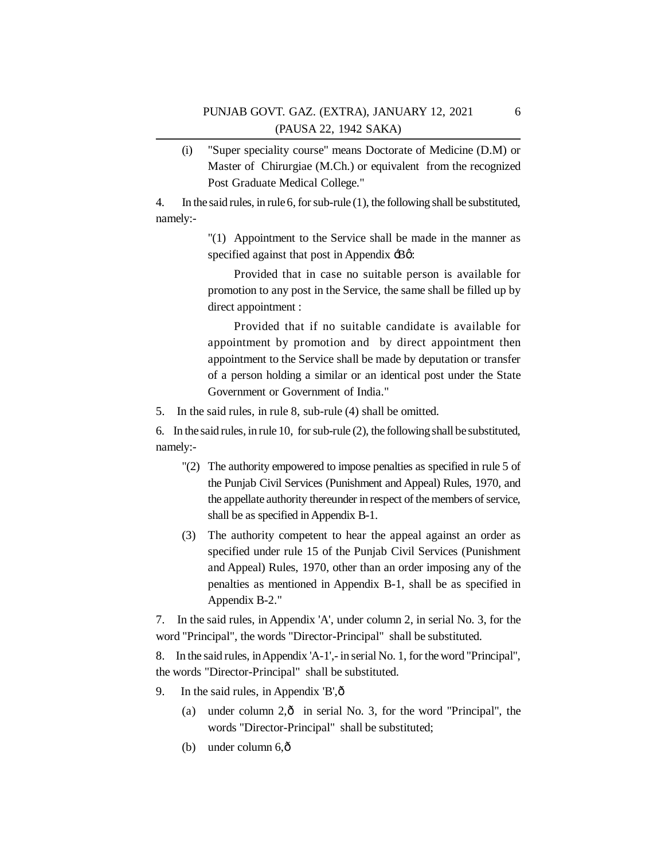(i) "Super speciality course" means Doctorate of Medicine (D.M) or Master of Chirurgiae (M.Ch.) or equivalent from the recognized Post Graduate Medical College."

4. In the said rules, in rule 6, for sub-rule (1), the following shall be substituted, namely:-

> "(1) Appointment to the Service shall be made in the manner as specified against that post in Appendix  $\text{-}B\varphi$ :

> Provided that in case no suitable person is available for promotion to any post in the Service, the same shall be filled up by direct appointment :

> Provided that if no suitable candidate is available for appointment by promotion and by direct appointment then appointment to the Service shall be made by deputation or transfer of a person holding a similar or an identical post under the State Government or Government of India."

5. In the said rules, in rule 8, sub-rule (4) shall be omitted.

6. In the said rules, in rule 10, for sub-rule (2), the following shall be substituted, namely:-

- "(2) The authority empowered to impose penalties as specified in rule 5 of the Punjab Civil Services (Punishment and Appeal) Rules, 1970, and the appellate authority thereunder in respect of the members of service, shall be as specified in Appendix B-1.
- (3) The authority competent to hear the appeal against an order as specified under rule 15 of the Punjab Civil Services (Punishment and Appeal) Rules, 1970, other than an order imposing any of the penalties as mentioned in Appendix B-1, shall be as specified in Appendix B-2."

7. In the said rules, in Appendix 'A', under column 2, in serial No. 3, for the word "Principal", the words "Director-Principal" shall be substituted.

8. In the said rules, in Appendix 'A-1',- in serial No. 1, for the word "Principal", the words "Director-Principal" shall be substituted.

- 9. In the said rules, in Appendix  $B', \hat{o}$ 
	- (a) under column  $2,\hat{o}$  in serial No. 3, for the word "Principal", the words "Director-Principal" shall be substituted;
	- (b) under column  $6,\hat{0}$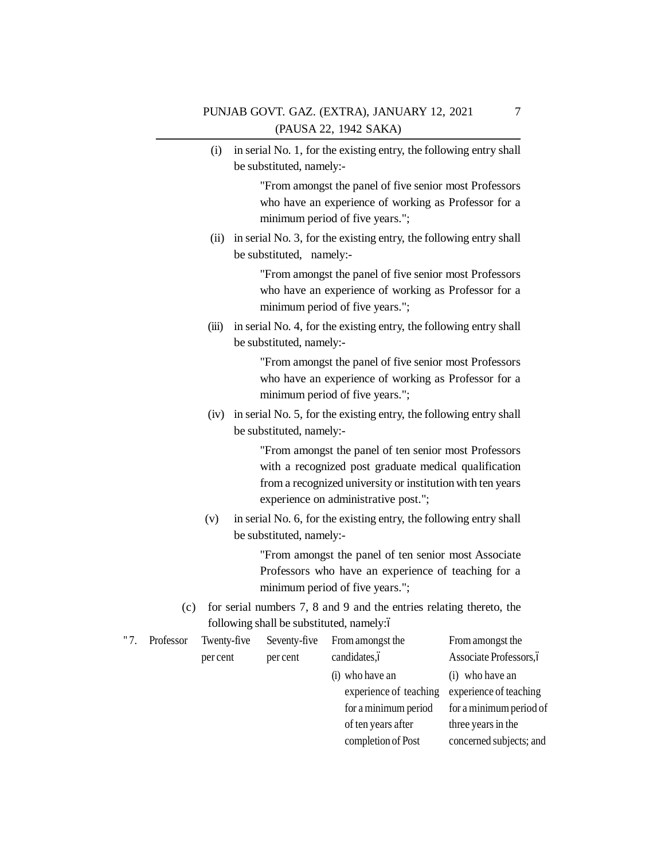(i) in serial No. 1, for the existing entry, the following entry shall be substituted, namely:-

> "From amongst the panel of five senior most Professors who have an experience of working as Professor for a minimum period of five years.";

 (ii) in serial No. 3, for the existing entry, the following entry shall be substituted, namely:-

> "From amongst the panel of five senior most Professors who have an experience of working as Professor for a minimum period of five years.";

(iii) in serial No. 4, for the existing entry, the following entry shall be substituted, namely:-

> "From amongst the panel of five senior most Professors who have an experience of working as Professor for a minimum period of five years.";

(iv) in serial No. 5, for the existing entry, the following entry shall be substituted, namely:-

> "From amongst the panel of ten senior most Professors with a recognized post graduate medical qualification from a recognized university or institution with ten years experience on administrative post.";

 (v) in serial No. 6, for the existing entry, the following entry shall be substituted, namely:-

> "From amongst the panel of ten senior most Associate Professors who have an experience of teaching for a minimum period of five years.";

(c) for serial numbers 7, 8 and 9 and the entries relating thereto, the following shall be substituted, namely: o

| " 7. | Professor | Twenty-five | Seventy-five | From amongst the       | From amongst the        |
|------|-----------|-------------|--------------|------------------------|-------------------------|
|      |           | per cent    | per cent     | candidates, ó          | Associate Professors, ó |
|      |           |             |              | (i) who have an        | $(i)$ who have an       |
|      |           |             |              | experience of teaching | experience of teaching  |
|      |           |             |              | for a minimum period   | for a minimum period of |
|      |           |             |              | of ten years after     | three years in the      |
|      |           |             |              | completion of Post     | concerned subjects; and |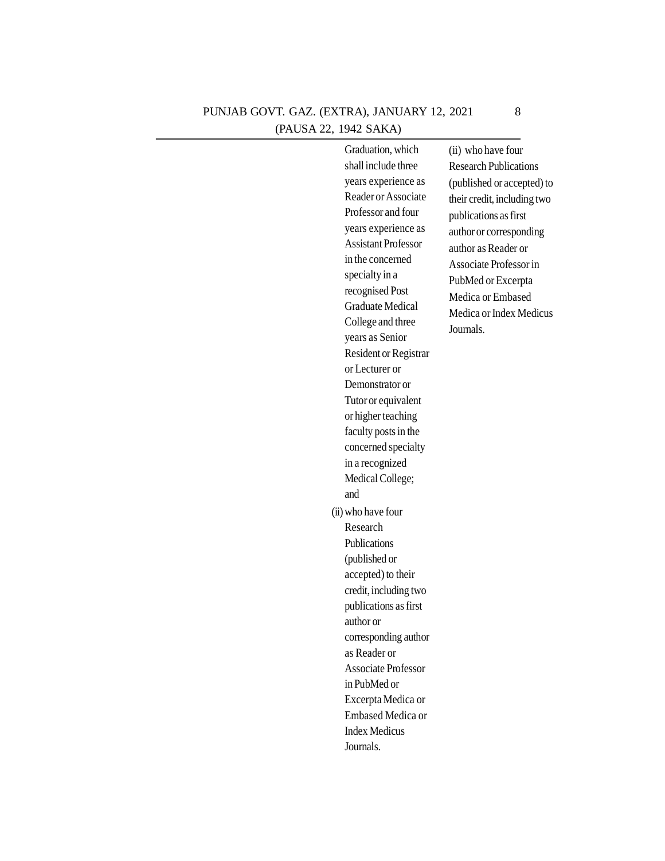## PUNJAB GOVT. GAZ. (EXTRA), JANUARY 12, 2021 (PAUSA 22, 1942 SAKA)

| Graduation, which          | (ii) who have four           |
|----------------------------|------------------------------|
| shall include three        | <b>Research Publications</b> |
| years experience as        | (published or accepted) to   |
| Reader or Associate        | their credit, including two  |
| Professor and four         | publications as first        |
| years experience as        | author or corresponding      |
| <b>Assistant Professor</b> | author as Reader or          |
| in the concerned           | Associate Professor in       |
| specialty in a             | PubMed or Excerpta           |
| recognised Post            | Medica or Embased            |
| <b>Graduate Medical</b>    | Medica or Index Medicus      |
| College and three          | Journals.                    |
| years as Senior            |                              |
| Resident or Registrar      |                              |
| or Lecturer or             |                              |
| Demonstrator or            |                              |
| Tutor or equivalent        |                              |
| or higher teaching         |                              |
| faculty posts in the       |                              |
| concerned specialty        |                              |
| in a recognized            |                              |
| Medical College;           |                              |
| and                        |                              |
| (ii) who have four         |                              |
| Research                   |                              |
| Publications               |                              |
| (published or              |                              |
| accepted) to their         |                              |
| credit, including two      |                              |
| publications as first      |                              |
| author or                  |                              |
| corresponding author       |                              |
| as Reader or               |                              |
| <b>Associate Professor</b> |                              |
| in PubMed or               |                              |
| Excerpta Medica or         |                              |
| Embased Medica or          |                              |
| <b>Index Medicus</b>       |                              |
| Journals.                  |                              |

8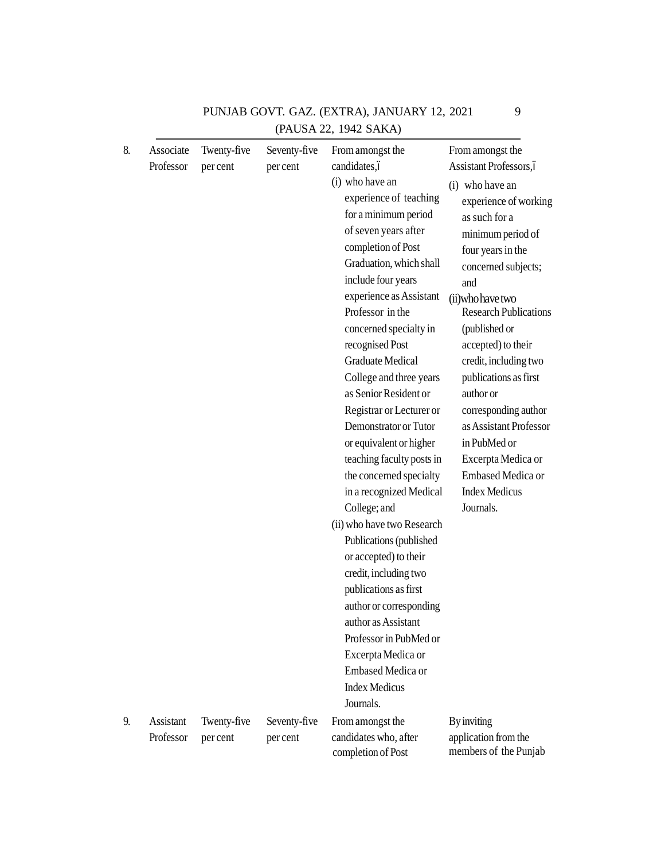| 8. | Associate<br>Professor | Twenty-five<br>per cent | Seventy-five<br>per cent | From amongst the<br>candidates,ó<br>(i) who have an<br>experience of teaching<br>for a minimum period<br>of seven years after<br>completion of Post<br>Graduation, which shall<br>include four years<br>experience as Assistant<br>Professor in the<br>concerned specialty in<br>recognised Post<br><b>Graduate Medical</b><br>College and three years<br>as Senior Resident or<br>Registrar or Lecturer or<br>Demonstrator or Tutor<br>or equivalent or higher<br>teaching faculty posts in<br>the concerned specialty<br>in a recognized Medical<br>College; and<br>(ii) who have two Research<br>Publications (published<br>or accepted) to their<br>credit, including two<br>publications as first<br>author or corresponding<br>author as Assistant<br>Professor in PubMed or<br>Excerpta Medica or<br><b>Embased Medica or</b><br><b>Index Medicus</b> | From amongst the<br>Assistant Professors, ó<br>(i) who have an<br>experience of working<br>as such for a<br>minimum period of<br>four years in the<br>concerned subjects;<br>and<br>(ii) who have two<br><b>Research Publications</b><br>(published or<br>accepted) to their<br>credit, including two<br>publications as first<br>author or<br>corresponding author<br>as Assistant Professor<br>in PubMed or<br>Excerpta Medica or<br>Embased Medica or<br><b>Index Medicus</b><br>Journals. |
|----|------------------------|-------------------------|--------------------------|--------------------------------------------------------------------------------------------------------------------------------------------------------------------------------------------------------------------------------------------------------------------------------------------------------------------------------------------------------------------------------------------------------------------------------------------------------------------------------------------------------------------------------------------------------------------------------------------------------------------------------------------------------------------------------------------------------------------------------------------------------------------------------------------------------------------------------------------------------------|-----------------------------------------------------------------------------------------------------------------------------------------------------------------------------------------------------------------------------------------------------------------------------------------------------------------------------------------------------------------------------------------------------------------------------------------------------------------------------------------------|
| 9. | Assistant              |                         |                          | Journals.                                                                                                                                                                                                                                                                                                                                                                                                                                                                                                                                                                                                                                                                                                                                                                                                                                                    |                                                                                                                                                                                                                                                                                                                                                                                                                                                                                               |
|    | Professor              | Twenty-five<br>per cent | Seventy-five<br>per cent | From amongst the<br>candidates who, after<br>completion of Post                                                                                                                                                                                                                                                                                                                                                                                                                                                                                                                                                                                                                                                                                                                                                                                              | <b>By inviting</b><br>application from the<br>members of the Punjab                                                                                                                                                                                                                                                                                                                                                                                                                           |

## PUNJAB GOVT. GAZ. (EXTRA), JANUARY 12, 2021 9(PAUSA 22, 1942 SAKA)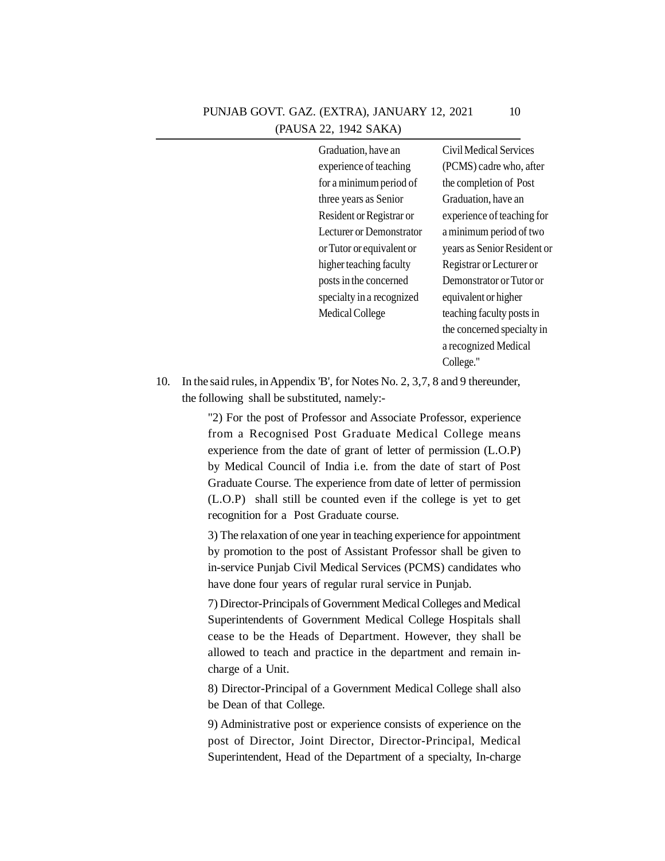## PUNJAB GOVT. GAZ. (EXTRA), JANUARY 12, 2021 (PAUSA 22, 1942 SAKA)

Graduation, have an experience of teaching for a minimum period of three years as Senior Resident or Registrar or Lecturer or Demonstrator or Tutor or equivalent or higher teaching faculty posts in the concerned specialty in a recognized Medical College

Civil Medical Services (PCMS) cadre who, after the completion of Post Graduation, have an experience of teaching for a minimum period of two years as Senior Resident or Registrar or Lecturer or Demonstrator or Tutor or equivalent or higher teaching faculty posts in the concerned specialty in a recognized Medical College."

10. In the said rules, in Appendix 'B', for Notes No. 2, 3,7, 8 and 9 thereunder, the following shall be substituted, namely:-

> "2) For the post of Professor and Associate Professor, experience from a Recognised Post Graduate Medical College means experience from the date of grant of letter of permission (L.O.P) by Medical Council of India i.e. from the date of start of Post Graduate Course. The experience from date of letter of permission (L.O.P) shall still be counted even if the college is yet to get recognition for a Post Graduate course.

> 3) The relaxation of one year in teaching experience for appointment by promotion to the post of Assistant Professor shall be given to in-service Punjab Civil Medical Services (PCMS) candidates who have done four years of regular rural service in Punjab.

> 7) Director-Principals of Government Medical Colleges and Medical Superintendents of Government Medical College Hospitals shall cease to be the Heads of Department. However, they shall be allowed to teach and practice in the department and remain incharge of a Unit.

> 8) Director-Principal of a Government Medical College shall also be Dean of that College.

> 9) Administrative post or experience consists of experience on the post of Director, Joint Director, Director-Principal, Medical Superintendent, Head of the Department of a specialty, In-charge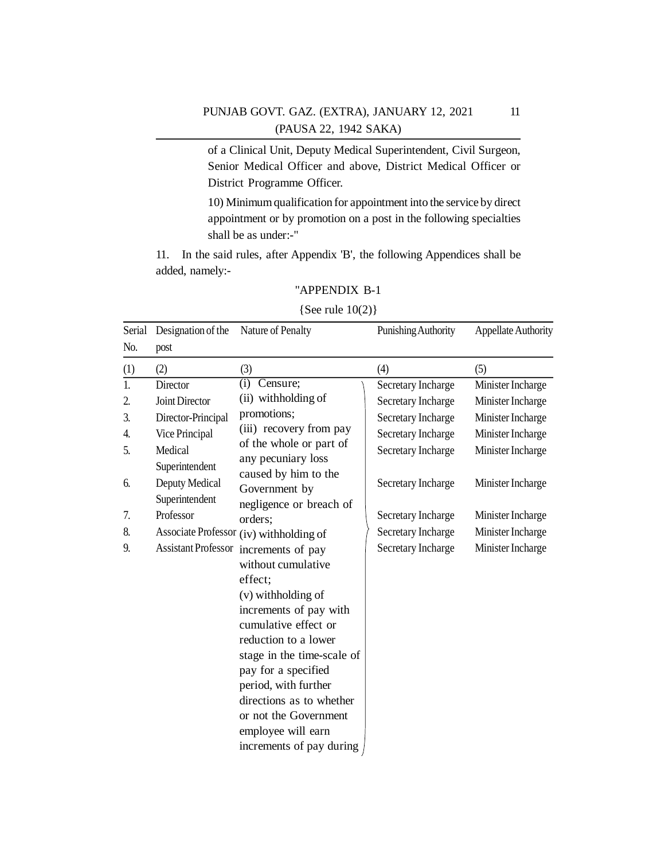## PUNJAB GOVT. GAZ. (EXTRA), JANUARY 12, 2021 (PAUSA 22, 1942 SAKA)

of a Clinical Unit, Deputy Medical Superintendent, Civil Surgeon, Senior Medical Officer and above, District Medical Officer or District Programme Officer.

10) Minimum qualification for appointment into the service by direct appointment or by promotion on a post in the following specialties shall be as under:-"

11. In the said rules, after Appendix 'B', the following Appendices shall be added, namely:-

## "APPENDIX B-1

#### {See rule 10(2)}

| Serial | Designation of the         | Nature of Penalty                       | Punishing Authority | <b>Appellate Authority</b> |
|--------|----------------------------|-----------------------------------------|---------------------|----------------------------|
| No.    | post                       |                                         |                     |                            |
| (1)    | (2)                        | (3)                                     | (4)                 | (5)                        |
| 1.     | Director                   | $\overline{(\text{i})}$<br>Censure;     | Secretary Incharge  | Minister Incharge          |
| 2.     | Joint Director             | (ii) withholding of                     | Secretary Incharge  | Minister Incharge          |
| 3.     | Director-Principal         | promotions;                             | Secretary Incharge  | Minister Incharge          |
| 4.     | Vice Principal             | (iii) recovery from pay                 | Secretary Incharge  | Minister Incharge          |
| 5.     | Medical                    | of the whole or part of                 | Secretary Incharge  | Minister Incharge          |
|        | Superintendent             | any pecuniary loss                      |                     |                            |
| 6.     | Deputy Medical             | caused by him to the<br>Government by   | Secretary Incharge  | Minister Incharge          |
|        | Superintendent             | negligence or breach of                 |                     |                            |
| 7.     | Professor                  | orders;                                 | Secretary Incharge  | Minister Incharge          |
| 8.     |                            | Associate Professor (iv) withholding of | Secretary Incharge  | Minister Incharge          |
| 9.     | <b>Assistant Professor</b> | increments of pay                       | Secretary Incharge  | Minister Incharge          |
|        |                            | without cumulative                      |                     |                            |
|        |                            | effect;                                 |                     |                            |
|        |                            | (v) withholding of                      |                     |                            |
|        |                            | increments of pay with                  |                     |                            |
|        |                            | cumulative effect or                    |                     |                            |
|        |                            | reduction to a lower                    |                     |                            |
|        |                            | stage in the time-scale of              |                     |                            |
|        |                            | pay for a specified                     |                     |                            |
|        |                            | period, with further                    |                     |                            |
|        |                            | directions as to whether                |                     |                            |
|        |                            | or not the Government                   |                     |                            |
|        |                            | employee will earn                      |                     |                            |
|        |                            | increments of pay during                |                     |                            |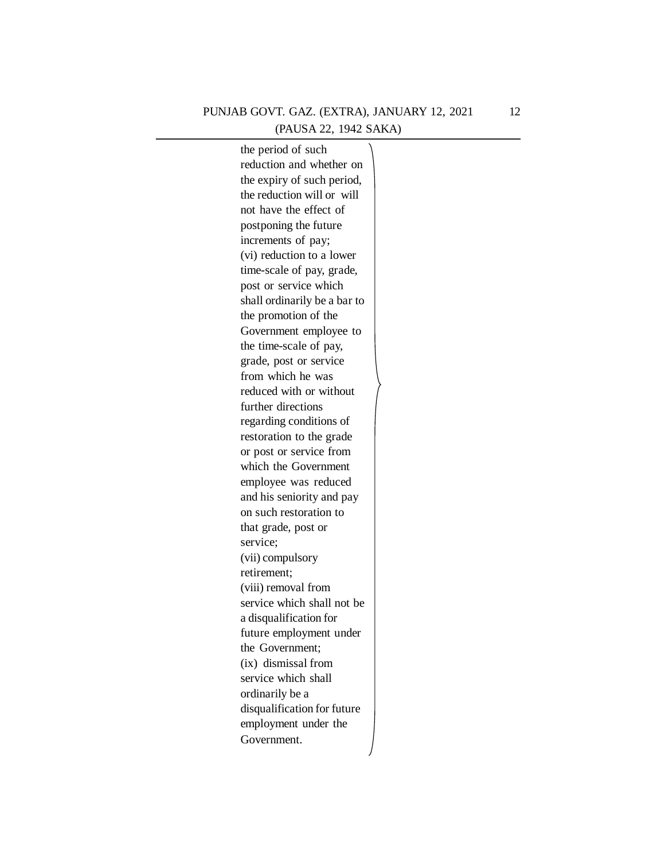## PUNJAB GOVT. GAZ. (EXTRA), JANUARY 12, 2021 12(PAUSA 22, 1942 SAKA)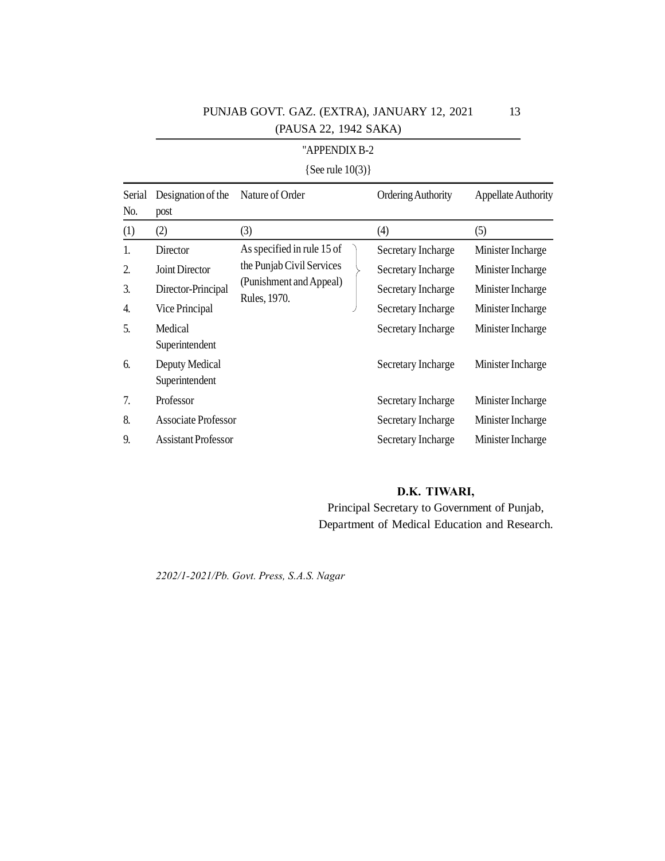## PUNJAB GOVT. GAZ. (EXTRA), JANUARY 12, 2021 (PAUSA 22, 1942 SAKA)

## "APPENDIX B-2

## {See rule 10(3)}

| Serial<br>No.  | Designation of the<br>post | Nature of Order                         | <b>Ordering Authority</b> | <b>Appellate Authority</b> |
|----------------|----------------------------|-----------------------------------------|---------------------------|----------------------------|
| (1)            | (2)                        | (3)                                     | (4)                       | (5)                        |
| $\mathbf{1}$ . | Director                   | As specified in rule 15 of              | Secretary Incharge        | Minister Incharge          |
| 2.             | Joint Director             | the Punjab Civil Services               | Secretary Incharge        | Minister Incharge          |
| 3.             | Director-Principal         | (Punishment and Appeal)<br>Rules, 1970. | Secretary Incharge        | Minister Incharge          |
| 4.             | Vice Principal             |                                         | Secretary Incharge        | Minister Incharge          |
| 5.             | Medical                    |                                         | Secretary Incharge        | Minister Incharge          |
|                | Superintendent             |                                         |                           |                            |
| 6.             | Deputy Medical             |                                         | Secretary Incharge        | Minister Incharge          |
|                | Superintendent             |                                         |                           |                            |
| 7.             | Professor                  |                                         | Secretary Incharge        | Minister Incharge          |
| 8.             | Associate Professor        |                                         | Secretary Incharge        | Minister Incharge          |
| 9.             | <b>Assistant Professor</b> |                                         | Secretary Incharge        | Minister Incharge          |

## **D.K. TIWARI,**

Principal Secretary to Government of Punjab, Department of Medical Education and Research.

*2202/1-2021/Pb. Govt. Press, S.A.S. Nagar*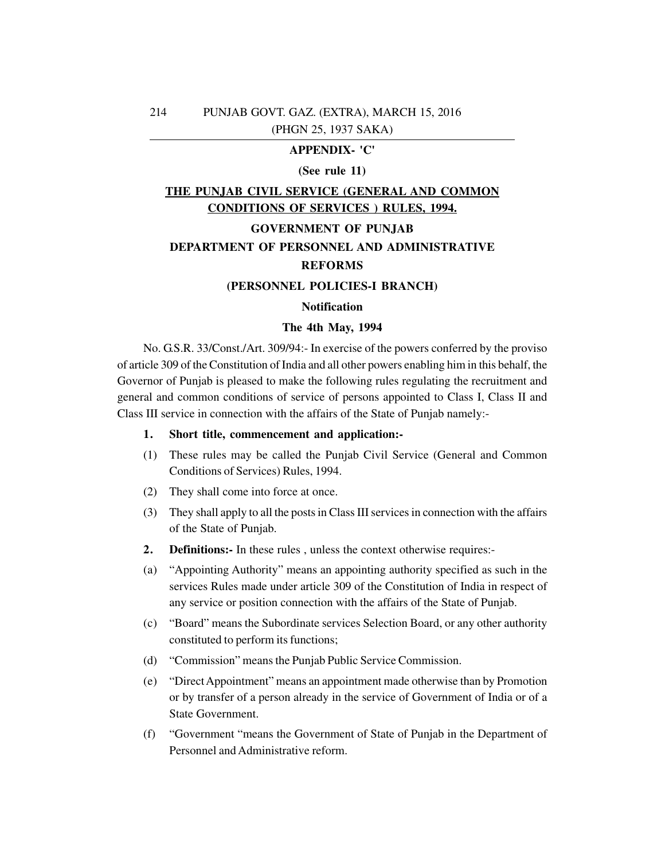## **APPENDIX- 'C'**

#### **(See rule 11)**

## **THE PUNJAB CIVIL SERVICE (GENERAL AND COMMON CONDITIONS OF SERVICES ) RULES, 1994.**

## **GOVERNMENT OF PUNJAB**

## **DEPARTMENT OF PERSONNEL AND ADMINISTRATIVE**

## **REFORMS**

## **(PERSONNEL POLICIES-I BRANCH)**

#### **Notification**

#### **The 4th May, 1994**

No. G.S.R. 33/Const./Art. 309/94:- In exercise of the powers conferred by the proviso of article 309 of the Constitution of India and all other powers enabling him in this behalf, the Governor of Punjab is pleased to make the following rules regulating the recruitment and general and common conditions of service of persons appointed to Class I, Class II and Class III service in connection with the affairs of the State of Punjab namely:-

## **1. Short title, commencement and application:-**

- (1) These rules may be called the Punjab Civil Service (General and Common Conditions of Services) Rules, 1994.
- (2) They shall come into force at once.
- (3) They shall apply to all the posts in Class III services in connection with the affairs of the State of Punjab.
- **2. Definitions:-** In these rules , unless the context otherwise requires:-
- (a) "Appointing Authority" means an appointing authority specified as such in the services Rules made under article 309 of the Constitution of India in respect of any service or position connection with the affairs of the State of Punjab.
- (c) "Board" means the Subordinate services Selection Board, or any other authority constituted to perform its functions;
- (d) "Commission" means the Punjab Public Service Commission.
- (e) "Direct Appointment" means an appointment made otherwise than by Promotion or by transfer of a person already in the service of Government of India or of a State Government.
- (f) "Government "means the Government of State of Punjab in the Department of Personnel and Administrative reform.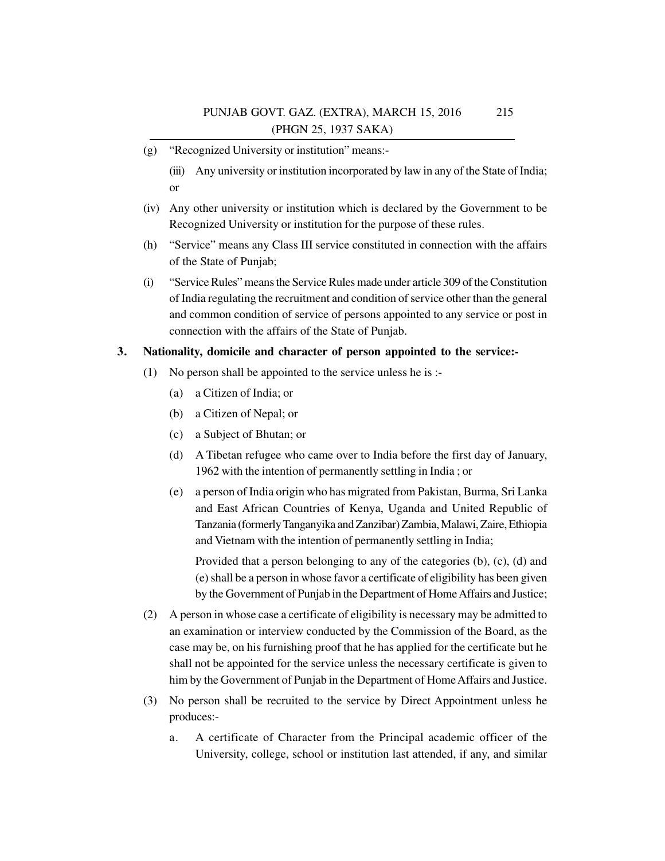- (g) "Recognized University or institution" means:-
	- (iii) Any university or institution incorporated by law in any of the State of India; or
- (iv) Any other university or institution which is declared by the Government to be Recognized University or institution for the purpose of these rules.
- (h) "Service" means any Class III service constituted in connection with the affairs of the State of Punjab;
- (i) "Service Rules" means the Service Rules made under article 309 of the Constitution of India regulating the recruitment and condition of service other than the general and common condition of service of persons appointed to any service or post in connection with the affairs of the State of Punjab.

## **3. Nationality, domicile and character of person appointed to the service:-**

- (1) No person shall be appointed to the service unless he is :-
	- (a) a Citizen of India; or
	- (b) a Citizen of Nepal; or
	- (c) a Subject of Bhutan; or
	- (d) A Tibetan refugee who came over to India before the first day of January, 1962 with the intention of permanently settling in India ; or
	- (e) a person of India origin who has migrated from Pakistan, Burma, Sri Lanka and East African Countries of Kenya, Uganda and United Republic of Tanzania (formerly Tanganyika and Zanzibar) Zambia, Malawi, Zaire, Ethiopia and Vietnam with the intention of permanently settling in India;

Provided that a person belonging to any of the categories (b), (c), (d) and (e) shall be a person in whose favor a certificate of eligibility has been given by the Government of Punjab in the Department of Home Affairs and Justice;

- (2) A person in whose case a certificate of eligibility is necessary may be admitted to an examination or interview conducted by the Commission of the Board, as the case may be, on his furnishing proof that he has applied for the certificate but he shall not be appointed for the service unless the necessary certificate is given to him by the Government of Punjab in the Department of Home Affairs and Justice.
- (3) No person shall be recruited to the service by Direct Appointment unless he produces:
	- a. A certificate of Character from the Principal academic officer of the University, college, school or institution last attended, if any, and similar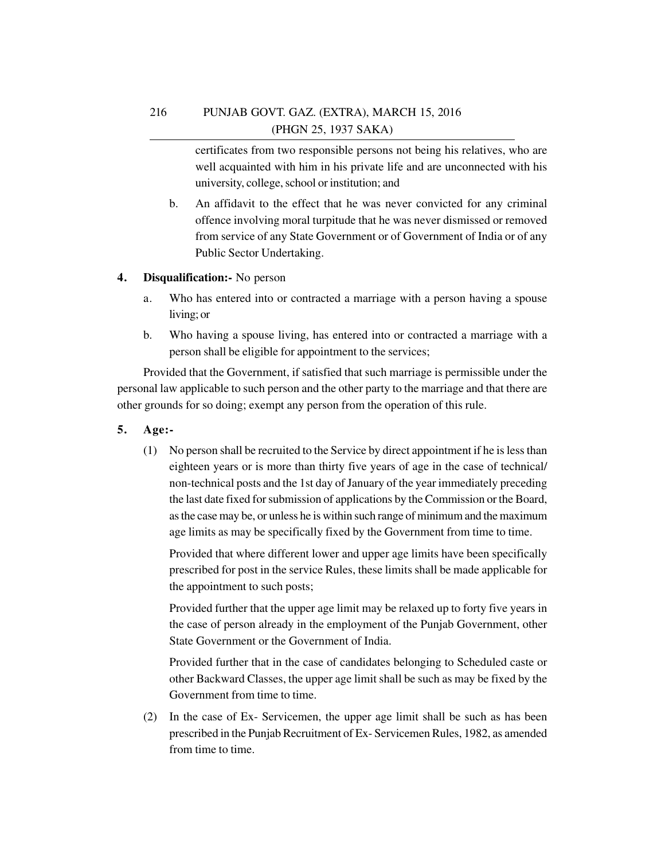certificates from two responsible persons not being his relatives, who are well acquainted with him in his private life and are unconnected with his university, college, school or institution; and

b. An affidavit to the effect that he was never convicted for any criminal offence involving moral turpitude that he was never dismissed or removed from service of any State Government or of Government of India or of any Public Sector Undertaking.

## **4. Disqualification:-** No person

- a. Who has entered into or contracted a marriage with a person having a spouse living; or
- b. Who having a spouse living, has entered into or contracted a marriage with a person shall be eligible for appointment to the services;

Provided that the Government, if satisfied that such marriage is permissible under the personal law applicable to such person and the other party to the marriage and that there are other grounds for so doing; exempt any person from the operation of this rule.

- **5. Age:-**
	- (1) No person shall be recruited to the Service by direct appointment if he is less than eighteen years or is more than thirty five years of age in the case of technical/ non-technical posts and the 1st day of January of the year immediately preceding the last date fixed for submission of applications by the Commission or the Board, as the case may be, or unless he is within such range of minimum and the maximum age limits as may be specifically fixed by the Government from time to time.

Provided that where different lower and upper age limits have been specifically prescribed for post in the service Rules, these limits shall be made applicable for the appointment to such posts;

Provided further that the upper age limit may be relaxed up to forty five years in the case of person already in the employment of the Punjab Government, other State Government or the Government of India.

Provided further that in the case of candidates belonging to Scheduled caste or other Backward Classes, the upper age limit shall be such as may be fixed by the Government from time to time.

(2) In the case of Ex- Servicemen, the upper age limit shall be such as has been prescribed in the Punjab Recruitment of Ex- Servicemen Rules, 1982, as amended from time to time.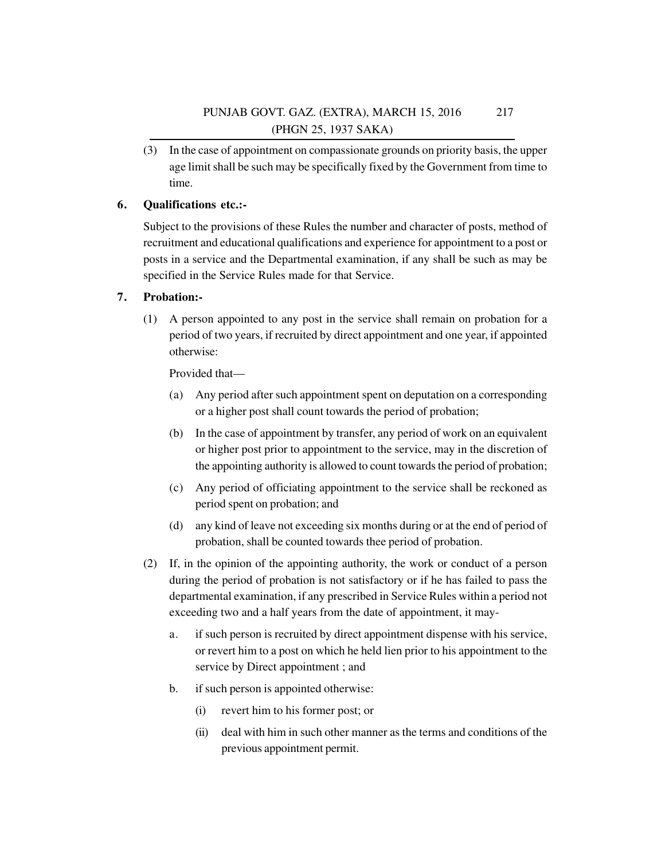(3) In the case of appointment on compassionate grounds on priority basis, the upper age limit shall be such may be specifically fixed by the Government from time to time.

## **6. Qualifications etc.:-**

Subject to the provisions of these Rules the number and character of posts, method of recruitment and educational qualifications and experience for appointment to a post or posts in a service and the Departmental examination, if any shall be such as may be specified in the Service Rules made for that Service.

## **7. Probation:-**

(1) A person appointed to any post in the service shall remain on probation for a period of two years, if recruited by direct appointment and one year, if appointed otherwise:

Provided that—

- (a) Any period after such appointment spent on deputation on a corresponding or a higher post shall count towards the period of probation;
- (b) In the case of appointment by transfer, any period of work on an equivalent or higher post prior to appointment to the service, may in the discretion of the appointing authority is allowed to count towards the period of probation;
- (c) Any period of officiating appointment to the service shall be reckoned as period spent on probation; and
- (d) any kind of leave not exceeding six months during or at the end of period of probation, shall be counted towards thee period of probation.
- (2) If, in the opinion of the appointing authority, the work or conduct of a person during the period of probation is not satisfactory or if he has failed to pass the departmental examination, if any prescribed in Service Rules within a period not exceeding two and a half years from the date of appointment, it may
	- a. if such person is recruited by direct appointment dispense with his service, or revert him to a post on which he held lien prior to his appointment to the service by Direct appointment ; and
	- b. if such person is appointed otherwise:
		- (i) revert him to his former post; or
		- (ii) deal with him in such other manner as the terms and conditions of the previous appointment permit.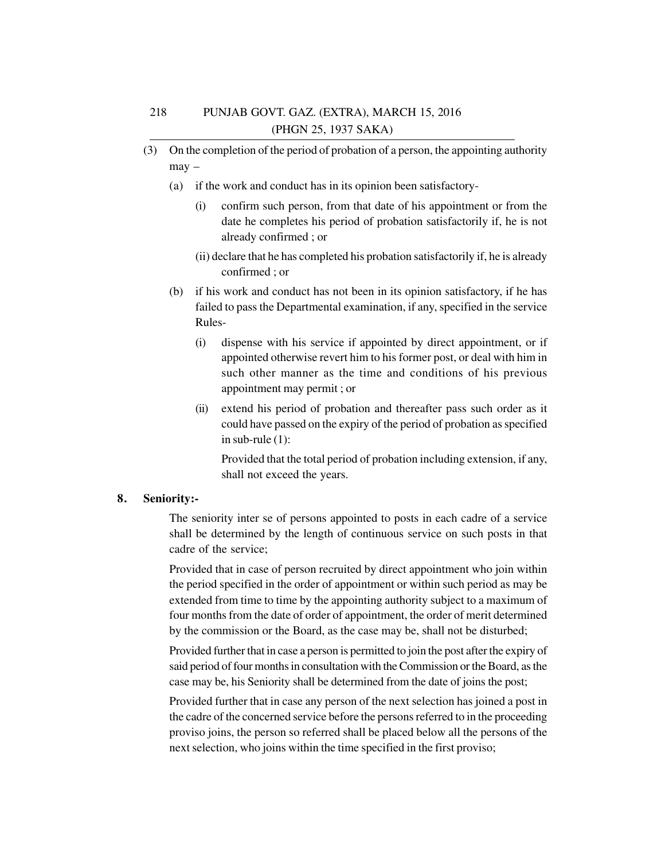- (3) On the completion of the period of probation of a person, the appointing authority may –
	- (a) if the work and conduct has in its opinion been satisfactory-
		- (i) confirm such person, from that date of his appointment or from the date he completes his period of probation satisfactorily if, he is not already confirmed ; or
		- (ii) declare that he has completed his probation satisfactorily if, he is already confirmed ; or
	- (b) if his work and conduct has not been in its opinion satisfactory, if he has failed to pass the Departmental examination, if any, specified in the service Rules-
		- (i) dispense with his service if appointed by direct appointment, or if appointed otherwise revert him to his former post, or deal with him in such other manner as the time and conditions of his previous appointment may permit ; or
		- (ii) extend his period of probation and thereafter pass such order as it could have passed on the expiry of the period of probation as specified in sub-rule (1):

Provided that the total period of probation including extension, if any, shall not exceed the years.

## **8. Seniority:-**

The seniority inter se of persons appointed to posts in each cadre of a service shall be determined by the length of continuous service on such posts in that cadre of the service;

Provided that in case of person recruited by direct appointment who join within the period specified in the order of appointment or within such period as may be extended from time to time by the appointing authority subject to a maximum of four months from the date of order of appointment, the order of merit determined by the commission or the Board, as the case may be, shall not be disturbed;

Provided further that in case a person is permitted to join the post after the expiry of said period of four months in consultation with the Commission or the Board, as the case may be, his Seniority shall be determined from the date of joins the post;

Provided further that in case any person of the next selection has joined a post in the cadre of the concerned service before the persons referred to in the proceeding proviso joins, the person so referred shall be placed below all the persons of the next selection, who joins within the time specified in the first proviso;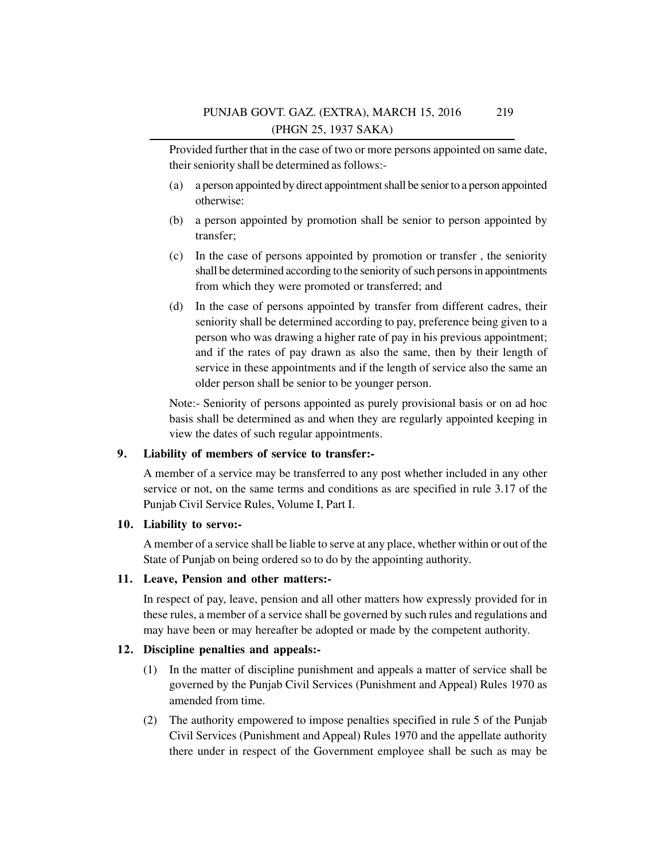Provided further that in the case of two or more persons appointed on same date, their seniority shall be determined as follows:-

- (a) a person appointed by direct appointment shall be senior to a person appointed otherwise:
- (b) a person appointed by promotion shall be senior to person appointed by transfer;
- (c) In the case of persons appointed by promotion or transfer , the seniority shall be determined according to the seniority of such persons in appointments from which they were promoted or transferred; and
- (d) In the case of persons appointed by transfer from different cadres, their seniority shall be determined according to pay, preference being given to a person who was drawing a higher rate of pay in his previous appointment; and if the rates of pay drawn as also the same, then by their length of service in these appointments and if the length of service also the same an older person shall be senior to be younger person.

Note:- Seniority of persons appointed as purely provisional basis or on ad hoc basis shall be determined as and when they are regularly appointed keeping in view the dates of such regular appointments.

## **9. Liability of members of service to transfer:-**

A member of a service may be transferred to any post whether included in any other service or not, on the same terms and conditions as are specified in rule 3.17 of the Punjab Civil Service Rules, Volume I, Part I.

## **10. Liability to servo:-**

A member of a service shall be liable to serve at any place, whether within or out of the State of Punjab on being ordered so to do by the appointing authority.

## **11. Leave, Pension and other matters:-**

In respect of pay, leave, pension and all other matters how expressly provided for in these rules, a member of a service shall be governed by such rules and regulations and may have been or may hereafter be adopted or made by the competent authority.

## **12. Discipline penalties and appeals:-**

- (1) In the matter of discipline punishment and appeals a matter of service shall be governed by the Punjab Civil Services (Punishment and Appeal) Rules 1970 as amended from time.
- (2) The authority empowered to impose penalties specified in rule 5 of the Punjab Civil Services (Punishment and Appeal) Rules 1970 and the appellate authority there under in respect of the Government employee shall be such as may be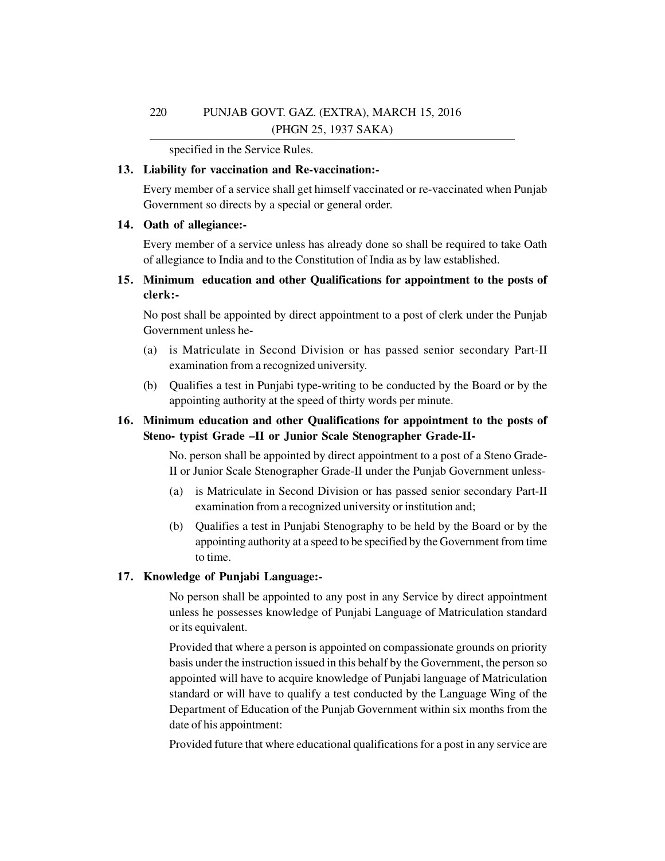specified in the Service Rules.

## **13. Liability for vaccination and Re-vaccination:-**

Every member of a service shall get himself vaccinated or re-vaccinated when Punjab Government so directs by a special or general order.

## **14. Oath of allegiance:-**

Every member of a service unless has already done so shall be required to take Oath of allegiance to India and to the Constitution of India as by law established.

## **15. Minimum education and other Qualifications for appointment to the posts of clerk:-**

No post shall be appointed by direct appointment to a post of clerk under the Punjab Government unless he-

- (a) is Matriculate in Second Division or has passed senior secondary Part-II examination from a recognized university.
- (b) Qualifies a test in Punjabi type-writing to be conducted by the Board or by the appointing authority at the speed of thirty words per minute.

## **16. Minimum education and other Qualifications for appointment to the posts of Steno- typist Grade –II or Junior Scale Stenographer Grade-II-**

No. person shall be appointed by direct appointment to a post of a Steno Grade-II or Junior Scale Stenographer Grade-II under the Punjab Government unless-

- (a) is Matriculate in Second Division or has passed senior secondary Part-II examination from a recognized university or institution and;
- (b) Qualifies a test in Punjabi Stenography to be held by the Board or by the appointing authority at a speed to be specified by the Government from time to time.

## **17. Knowledge of Punjabi Language:-**

No person shall be appointed to any post in any Service by direct appointment unless he possesses knowledge of Punjabi Language of Matriculation standard or its equivalent.

Provided that where a person is appointed on compassionate grounds on priority basis under the instruction issued in this behalf by the Government, the person so appointed will have to acquire knowledge of Punjabi language of Matriculation standard or will have to qualify a test conducted by the Language Wing of the Department of Education of the Punjab Government within six months from the date of his appointment:

Provided future that where educational qualifications for a post in any service are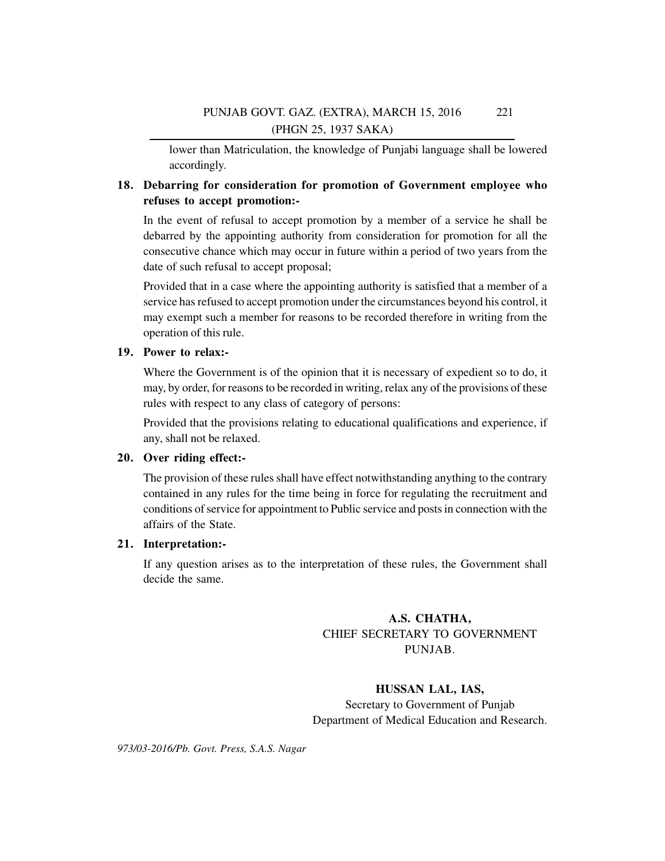lower than Matriculation, the knowledge of Punjabi language shall be lowered accordingly.

## **18. Debarring for consideration for promotion of Government employee who refuses to accept promotion:-**

In the event of refusal to accept promotion by a member of a service he shall be debarred by the appointing authority from consideration for promotion for all the consecutive chance which may occur in future within a period of two years from the date of such refusal to accept proposal;

Provided that in a case where the appointing authority is satisfied that a member of a service has refused to accept promotion under the circumstances beyond his control, it may exempt such a member for reasons to be recorded therefore in writing from the operation of this rule.

## **19. Power to relax:-**

Where the Government is of the opinion that it is necessary of expedient so to do, it may, by order, for reasons to be recorded in writing, relax any of the provisions of these rules with respect to any class of category of persons:

Provided that the provisions relating to educational qualifications and experience, if any, shall not be relaxed.

## **20. Over riding effect:-**

The provision of these rules shall have effect notwithstanding anything to the contrary contained in any rules for the time being in force for regulating the recruitment and conditions of service for appointment to Public service and posts in connection with the affairs of the State.

## **21. Interpretation:-**

If any question arises as to the interpretation of these rules, the Government shall decide the same.

## **A.S. CHATHA,** CHIEF SECRETARY TO GOVERNMENT PUNJAB.

**HUSSAN LAL, IAS,** Secretary to Government of Punjab Department of Medical Education and Research.

*973/03-2016/Pb. Govt. Press, S.A.S. Nagar*